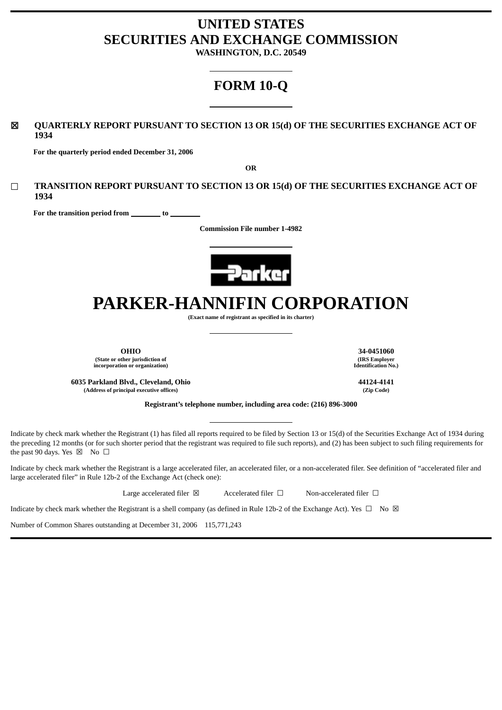# **UNITED STATES SECURITIES AND EXCHANGE COMMISSION**

**WASHINGTON, D.C. 20549**

# **FORM 10-Q**

# ☒ **QUARTERLY REPORT PURSUANT TO SECTION 13 OR 15(d) OF THE SECURITIES EXCHANGE ACT OF 1934**

 **For the quarterly period ended December 31, 2006**

**OR**

# ☐ **TRANSITION REPORT PURSUANT TO SECTION 13 OR 15(d) OF THE SECURITIES EXCHANGE ACT OF 1934**

For the transition period from \_\_\_\_\_\_\_\_ to \_\_

**Commission File number 1-4982**



# **PARKER-HANNIFIN CORPORATION**

**(Exact name of registrant as specified in its charter)**

**OHIO 34-0451060 (State or other jurisdiction of incorporation or organization)**

**6035 Parkland Blvd., Cleveland, Ohio 44124-4141 (Address of principal executive offices) (Zip Code)**

**(IRS Employer Identification No.)**

**Registrant's telephone number, including area code: (216) 896-3000**

Indicate by check mark whether the Registrant (1) has filed all reports required to be filed by Section 13 or 15(d) of the Securities Exchange Act of 1934 during the preceding 12 months (or for such shorter period that the registrant was required to file such reports), and (2) has been subject to such filing requirements for the past 90 days. Yes  $\boxtimes$  No  $\Box$ 

Indicate by check mark whether the Registrant is a large accelerated filer, an accelerated filer, or a non-accelerated filer. See definition of "accelerated filer and large accelerated filer" in Rule 12b-2 of the Exchange Act (check one):

Large accelerated filer ⊠ Accelerated filer □ Non-accelerated filer □

Indicate by check mark whether the Registrant is a shell company (as defined in Rule 12b-2 of the Exchange Act). Yes  $\Box$  No  $\boxtimes$ 

Number of Common Shares outstanding at December 31, 2006 115,771,243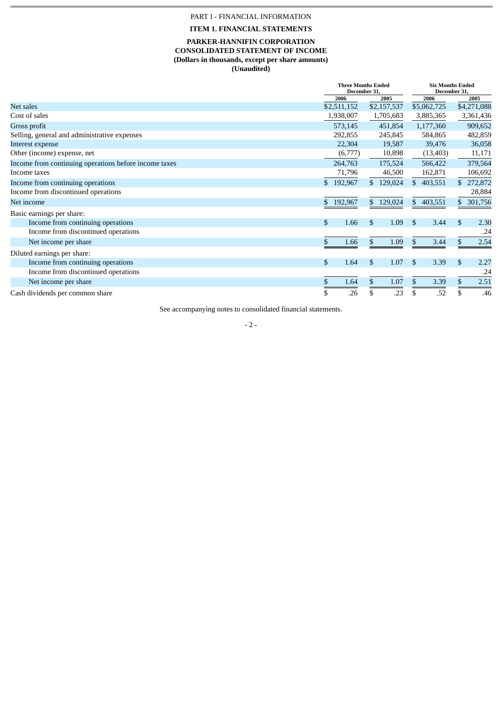# PART I - FINANCIAL INFORMATION

**ITEM 1. FINANCIAL STATEMENTS**

## **PARKER-HANNIFIN CORPORATION CONSOLIDATED STATEMENT OF INCOME (Dollars in thousands, except per share amounts) (Unaudited)**

|                                                       | <b>Three Months Ended</b><br>December 31. |                |             | <b>Six Months Ended</b><br>December 31. |             |     |             |
|-------------------------------------------------------|-------------------------------------------|----------------|-------------|-----------------------------------------|-------------|-----|-------------|
|                                                       | 2006                                      |                | 2005        |                                         | 2006        |     | 2005        |
| Net sales                                             | \$2,511,152                               |                | \$2,157,537 |                                         | \$5,062,725 |     | \$4,271,088 |
| Cost of sales                                         | 1,938,007                                 |                | 1,705,683   |                                         | 3,885,365   |     | 3,361,436   |
| Gross profit                                          | 573,145                                   |                | 451,854     |                                         | 1,177,360   |     | 909,652     |
| Selling, general and administrative expenses          | 292,855                                   |                | 245,845     |                                         | 584,865     |     | 482,859     |
| Interest expense                                      | 22,304                                    |                | 19,587      |                                         | 39,476      |     | 36,058      |
| Other (income) expense, net                           | (6,777)                                   |                | 10,898      |                                         | (13, 403)   |     | 11,171      |
| Income from continuing operations before income taxes | 264,763                                   |                | 175,524     |                                         | 566,422     |     | 379,564     |
| Income taxes                                          | 71,796                                    |                | 46,500      |                                         | 162,871     |     | 106,692     |
| Income from continuing operations                     | \$192,967                                 |                | \$129,024   |                                         | \$403,551   | \$. | 272,872     |
| Income from discontinued operations                   |                                           |                |             |                                         |             |     | 28,884      |
| Net income                                            | 192,967                                   |                | \$129,024   | \$                                      | 403,551     | \$  | 301,756     |
| Basic earnings per share:                             |                                           |                |             |                                         |             |     |             |
| Income from continuing operations                     | \$<br>1.66                                | \$             | 1.09        | \$                                      | 3.44        | \$  | 2.30        |
| Income from discontinued operations                   |                                           |                |             |                                         |             |     | .24         |
| Net income per share                                  | 1.66                                      | $\mathfrak{s}$ | 1.09        | \$                                      | 3.44        |     | 2.54        |
| Diluted earnings per share:                           |                                           |                |             |                                         |             |     |             |
| Income from continuing operations                     | \$<br>1.64                                | \$             | 1.07        | \$                                      | 3.39        | \$  | 2.27        |
| Income from discontinued operations                   |                                           |                |             |                                         |             |     | .24         |
| Net income per share                                  | \$<br>1.64                                | \$             | 1.07        | \$                                      | 3.39        |     | 2.51        |
| Cash dividends per common share                       | .26                                       | \$             | .23         | \$                                      | .52         | S   | .46         |

See accompanying notes to consolidated financial statements.

- 2 -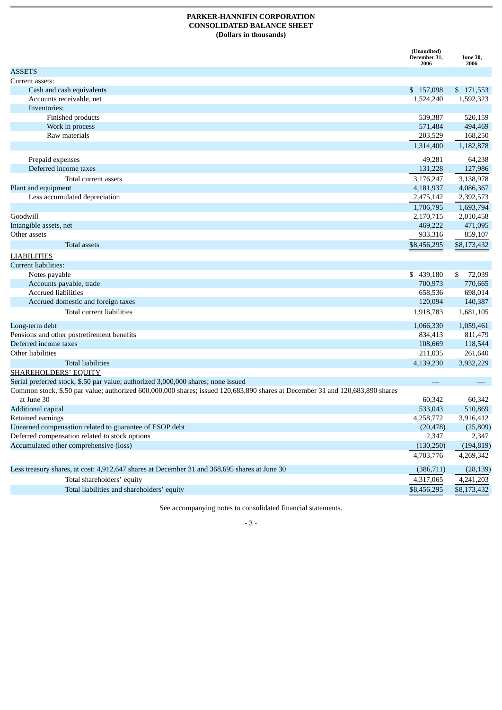## **PARKER-HANNIFIN CORPORATION CONSOLIDATED BALANCE SHEET (Dollars in thousands)**

|                                                                                                                                             | (Unaudited)<br>December 31,<br>2006 | <b>June 30,</b><br>2006 |
|---------------------------------------------------------------------------------------------------------------------------------------------|-------------------------------------|-------------------------|
| <b>ASSETS</b>                                                                                                                               |                                     |                         |
| Current assets:                                                                                                                             |                                     |                         |
| Cash and cash equivalents                                                                                                                   | \$157,098                           | \$171,553               |
| Accounts receivable, net                                                                                                                    | 1,524,240                           | 1,592,323               |
| Inventories:                                                                                                                                |                                     |                         |
| Finished products                                                                                                                           | 539,387                             | 520,159                 |
| Work in process                                                                                                                             | 571,484                             | 494,469                 |
| Raw materials                                                                                                                               | 203,529                             | 168,250                 |
|                                                                                                                                             | 1,314,400                           | 1,182,878               |
| Prepaid expenses                                                                                                                            | 49,281                              | 64,238                  |
| Deferred income taxes                                                                                                                       | 131,228                             | 127,986                 |
| Total current assets                                                                                                                        | 3,176,247                           | 3,138,978               |
| Plant and equipment                                                                                                                         | 4,181,937                           | 4,086,367               |
| Less accumulated depreciation                                                                                                               | 2,475,142                           | 2,392,573               |
|                                                                                                                                             | 1,706,795                           | 1,693,794               |
| Goodwill                                                                                                                                    | 2,170,715                           | 2,010,458               |
| Intangible assets, net                                                                                                                      | 469,222                             | 471,095                 |
| Other assets                                                                                                                                | 933,316                             | 859,107                 |
| <b>Total assets</b>                                                                                                                         | \$8,456,295                         | \$8,173,432             |
|                                                                                                                                             |                                     |                         |
| <b>LIABILITIES</b><br>Current liabilities:                                                                                                  |                                     |                         |
|                                                                                                                                             | \$439,180                           | \$<br>72,039            |
| Notes payable<br>Accounts payable, trade                                                                                                    | 700,973                             | 770,665                 |
| <b>Accrued liabilities</b>                                                                                                                  | 658,536                             | 698,014                 |
| Accrued domestic and foreign taxes                                                                                                          | 120,094                             | 140,387                 |
| Total current liabilities                                                                                                                   |                                     |                         |
|                                                                                                                                             | 1,918,783                           | 1,681,105               |
| Long-term debt                                                                                                                              | 1,066,330                           | 1,059,461               |
| Pensions and other postretirement benefits                                                                                                  | 834,413                             | 811,479                 |
| Deferred income taxes                                                                                                                       | 108,669                             | 118,544                 |
| Other liabilities                                                                                                                           | 211,035                             | 261,640                 |
| <b>Total liabilities</b>                                                                                                                    | 4,139,230                           | 3,932,229               |
| <b>SHAREHOLDERS' EQUITY</b>                                                                                                                 |                                     |                         |
| Serial preferred stock, \$.50 par value; authorized 3,000,000 shares; none issued                                                           |                                     |                         |
| Common stock, \$.50 par value; authorized 600,000,000 shares; issued 120,683,890 shares at December 31 and 120,683,890 shares<br>at June 30 | 60,342                              | 60,342                  |
| <b>Additional capital</b>                                                                                                                   | 533,043                             | 510,869                 |
| Retained earnings                                                                                                                           | 4,258,772                           | 3,916,412               |
| Unearned compensation related to guarantee of ESOP debt                                                                                     | (20, 478)                           | (25,809)                |
| Deferred compensation related to stock options                                                                                              | 2,347                               | 2,347                   |
| Accumulated other comprehensive (loss)                                                                                                      | (130, 250)                          | (194, 819)              |
|                                                                                                                                             | 4,703,776                           | 4,269,342               |
| Less treasury shares, at cost: 4,912,647 shares at December 31 and 368,695 shares at June 30                                                | (386, 711)                          | (28, 139)               |
| Total shareholders' equity                                                                                                                  | 4,317,065                           | 4,241,203               |
| Total liabilities and shareholders' equity                                                                                                  | \$8,456,295                         | \$8,173,432             |
|                                                                                                                                             |                                     |                         |

See accompanying notes to consolidated financial statements.

- 3 -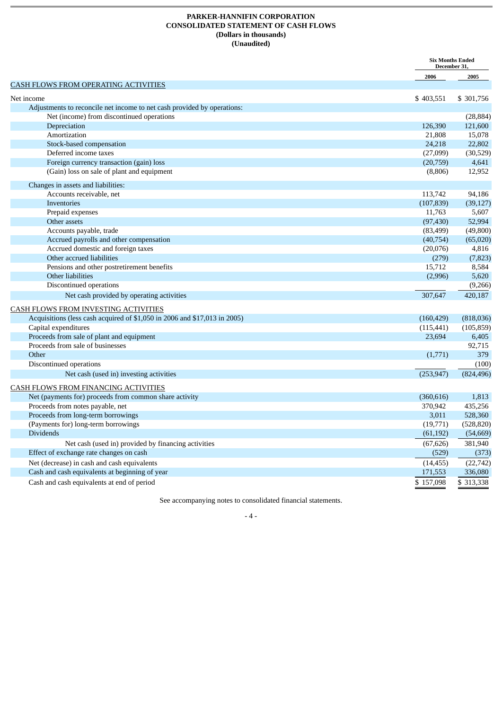## **PARKER-HANNIFIN CORPORATION CONSOLIDATED STATEMENT OF CASH FLOWS (Dollars in thousands) (Unaudited)**

| 2006<br>2005<br>CASH FLOWS FROM OPERATING ACTIVITIES<br>\$403,551<br>Net income<br>\$301,756<br>Adjustments to reconcile net income to net cash provided by operations:<br>Net (income) from discontinued operations<br>Depreciation<br>126,390<br>Amortization<br>21,808<br>Stock-based compensation<br>24,218<br>Deferred income taxes<br>(27,099)<br>(20, 759)<br>Foreign currency transaction (gain) loss<br>(Gain) loss on sale of plant and equipment<br>(8,806)<br>Changes in assets and liabilities:<br>Accounts receivable, net<br>113,742<br>Inventories<br>(107, 839)<br>11,763<br>Prepaid expenses<br>Other assets<br>(97, 430)<br>Accounts payable, trade<br>(83, 499)<br>Accrued payrolls and other compensation<br>(40, 754)<br>Accrued domestic and foreign taxes<br>(20,076)<br>4,816<br>Other accrued liabilities<br>(279)<br>Pensions and other postretirement benefits<br>15,712<br>8,584<br>Other liabilities<br>5,620<br>(2,996)<br>Discontinued operations<br>(9,266)<br>Net cash provided by operating activities<br>307,647<br><b>CASH FLOWS FROM INVESTING ACTIVITIES</b><br>Acquisitions (less cash acquired of \$1,050 in 2006 and \$17,013 in 2005)<br>(160, 429)<br>Capital expenditures<br>(115, 441)<br>Proceeds from sale of plant and equipment<br>23,694<br>Proceeds from sale of businesses<br>Other<br>(1,771)<br>Discontinued operations<br>Net cash (used in) investing activities<br>(253, 947)<br><b>CASH FLOWS FROM FINANCING ACTIVITIES</b><br>Net (payments for) proceeds from common share activity<br>(360, 616)<br>Proceeds from notes payable, net<br>370,942<br>Proceeds from long-term borrowings<br>3,011<br>(Payments for) long-term borrowings<br>(19,771)<br><b>Dividends</b><br>(61, 192)<br>Net cash (used in) provided by financing activities<br>(67, 626)<br>Effect of exchange rate changes on cash<br>(529)<br>(14, 455)<br>Net (decrease) in cash and cash equivalents<br>171,553<br>Cash and cash equivalents at beginning of year | December 31, | <b>Six Months Ended</b> |  |
|---------------------------------------------------------------------------------------------------------------------------------------------------------------------------------------------------------------------------------------------------------------------------------------------------------------------------------------------------------------------------------------------------------------------------------------------------------------------------------------------------------------------------------------------------------------------------------------------------------------------------------------------------------------------------------------------------------------------------------------------------------------------------------------------------------------------------------------------------------------------------------------------------------------------------------------------------------------------------------------------------------------------------------------------------------------------------------------------------------------------------------------------------------------------------------------------------------------------------------------------------------------------------------------------------------------------------------------------------------------------------------------------------------------------------------------------------------------------------------------------------------------------------------------------------------------------------------------------------------------------------------------------------------------------------------------------------------------------------------------------------------------------------------------------------------------------------------------------------------------------------------------------------------------------------------------------------------------------------------------------------|--------------|-------------------------|--|
|                                                                                                                                                                                                                                                                                                                                                                                                                                                                                                                                                                                                                                                                                                                                                                                                                                                                                                                                                                                                                                                                                                                                                                                                                                                                                                                                                                                                                                                                                                                                                                                                                                                                                                                                                                                                                                                                                                                                                                                                   |              |                         |  |
|                                                                                                                                                                                                                                                                                                                                                                                                                                                                                                                                                                                                                                                                                                                                                                                                                                                                                                                                                                                                                                                                                                                                                                                                                                                                                                                                                                                                                                                                                                                                                                                                                                                                                                                                                                                                                                                                                                                                                                                                   |              |                         |  |
|                                                                                                                                                                                                                                                                                                                                                                                                                                                                                                                                                                                                                                                                                                                                                                                                                                                                                                                                                                                                                                                                                                                                                                                                                                                                                                                                                                                                                                                                                                                                                                                                                                                                                                                                                                                                                                                                                                                                                                                                   |              |                         |  |
|                                                                                                                                                                                                                                                                                                                                                                                                                                                                                                                                                                                                                                                                                                                                                                                                                                                                                                                                                                                                                                                                                                                                                                                                                                                                                                                                                                                                                                                                                                                                                                                                                                                                                                                                                                                                                                                                                                                                                                                                   |              |                         |  |
|                                                                                                                                                                                                                                                                                                                                                                                                                                                                                                                                                                                                                                                                                                                                                                                                                                                                                                                                                                                                                                                                                                                                                                                                                                                                                                                                                                                                                                                                                                                                                                                                                                                                                                                                                                                                                                                                                                                                                                                                   |              | (28, 884)               |  |
|                                                                                                                                                                                                                                                                                                                                                                                                                                                                                                                                                                                                                                                                                                                                                                                                                                                                                                                                                                                                                                                                                                                                                                                                                                                                                                                                                                                                                                                                                                                                                                                                                                                                                                                                                                                                                                                                                                                                                                                                   |              | 121,600                 |  |
|                                                                                                                                                                                                                                                                                                                                                                                                                                                                                                                                                                                                                                                                                                                                                                                                                                                                                                                                                                                                                                                                                                                                                                                                                                                                                                                                                                                                                                                                                                                                                                                                                                                                                                                                                                                                                                                                                                                                                                                                   |              | 15,078                  |  |
|                                                                                                                                                                                                                                                                                                                                                                                                                                                                                                                                                                                                                                                                                                                                                                                                                                                                                                                                                                                                                                                                                                                                                                                                                                                                                                                                                                                                                                                                                                                                                                                                                                                                                                                                                                                                                                                                                                                                                                                                   |              | 22,802                  |  |
|                                                                                                                                                                                                                                                                                                                                                                                                                                                                                                                                                                                                                                                                                                                                                                                                                                                                                                                                                                                                                                                                                                                                                                                                                                                                                                                                                                                                                                                                                                                                                                                                                                                                                                                                                                                                                                                                                                                                                                                                   |              | (30, 529)               |  |
|                                                                                                                                                                                                                                                                                                                                                                                                                                                                                                                                                                                                                                                                                                                                                                                                                                                                                                                                                                                                                                                                                                                                                                                                                                                                                                                                                                                                                                                                                                                                                                                                                                                                                                                                                                                                                                                                                                                                                                                                   |              | 4,641                   |  |
|                                                                                                                                                                                                                                                                                                                                                                                                                                                                                                                                                                                                                                                                                                                                                                                                                                                                                                                                                                                                                                                                                                                                                                                                                                                                                                                                                                                                                                                                                                                                                                                                                                                                                                                                                                                                                                                                                                                                                                                                   |              | 12,952                  |  |
|                                                                                                                                                                                                                                                                                                                                                                                                                                                                                                                                                                                                                                                                                                                                                                                                                                                                                                                                                                                                                                                                                                                                                                                                                                                                                                                                                                                                                                                                                                                                                                                                                                                                                                                                                                                                                                                                                                                                                                                                   |              |                         |  |
|                                                                                                                                                                                                                                                                                                                                                                                                                                                                                                                                                                                                                                                                                                                                                                                                                                                                                                                                                                                                                                                                                                                                                                                                                                                                                                                                                                                                                                                                                                                                                                                                                                                                                                                                                                                                                                                                                                                                                                                                   |              | 94,186                  |  |
|                                                                                                                                                                                                                                                                                                                                                                                                                                                                                                                                                                                                                                                                                                                                                                                                                                                                                                                                                                                                                                                                                                                                                                                                                                                                                                                                                                                                                                                                                                                                                                                                                                                                                                                                                                                                                                                                                                                                                                                                   |              | (39, 127)               |  |
|                                                                                                                                                                                                                                                                                                                                                                                                                                                                                                                                                                                                                                                                                                                                                                                                                                                                                                                                                                                                                                                                                                                                                                                                                                                                                                                                                                                                                                                                                                                                                                                                                                                                                                                                                                                                                                                                                                                                                                                                   |              | 5,607                   |  |
|                                                                                                                                                                                                                                                                                                                                                                                                                                                                                                                                                                                                                                                                                                                                                                                                                                                                                                                                                                                                                                                                                                                                                                                                                                                                                                                                                                                                                                                                                                                                                                                                                                                                                                                                                                                                                                                                                                                                                                                                   |              | 52,994                  |  |
|                                                                                                                                                                                                                                                                                                                                                                                                                                                                                                                                                                                                                                                                                                                                                                                                                                                                                                                                                                                                                                                                                                                                                                                                                                                                                                                                                                                                                                                                                                                                                                                                                                                                                                                                                                                                                                                                                                                                                                                                   |              | (49,800)                |  |
|                                                                                                                                                                                                                                                                                                                                                                                                                                                                                                                                                                                                                                                                                                                                                                                                                                                                                                                                                                                                                                                                                                                                                                                                                                                                                                                                                                                                                                                                                                                                                                                                                                                                                                                                                                                                                                                                                                                                                                                                   |              | (65,020)                |  |
|                                                                                                                                                                                                                                                                                                                                                                                                                                                                                                                                                                                                                                                                                                                                                                                                                                                                                                                                                                                                                                                                                                                                                                                                                                                                                                                                                                                                                                                                                                                                                                                                                                                                                                                                                                                                                                                                                                                                                                                                   |              |                         |  |
|                                                                                                                                                                                                                                                                                                                                                                                                                                                                                                                                                                                                                                                                                                                                                                                                                                                                                                                                                                                                                                                                                                                                                                                                                                                                                                                                                                                                                                                                                                                                                                                                                                                                                                                                                                                                                                                                                                                                                                                                   |              | (7, 823)                |  |
|                                                                                                                                                                                                                                                                                                                                                                                                                                                                                                                                                                                                                                                                                                                                                                                                                                                                                                                                                                                                                                                                                                                                                                                                                                                                                                                                                                                                                                                                                                                                                                                                                                                                                                                                                                                                                                                                                                                                                                                                   |              |                         |  |
|                                                                                                                                                                                                                                                                                                                                                                                                                                                                                                                                                                                                                                                                                                                                                                                                                                                                                                                                                                                                                                                                                                                                                                                                                                                                                                                                                                                                                                                                                                                                                                                                                                                                                                                                                                                                                                                                                                                                                                                                   |              |                         |  |
|                                                                                                                                                                                                                                                                                                                                                                                                                                                                                                                                                                                                                                                                                                                                                                                                                                                                                                                                                                                                                                                                                                                                                                                                                                                                                                                                                                                                                                                                                                                                                                                                                                                                                                                                                                                                                                                                                                                                                                                                   |              |                         |  |
|                                                                                                                                                                                                                                                                                                                                                                                                                                                                                                                                                                                                                                                                                                                                                                                                                                                                                                                                                                                                                                                                                                                                                                                                                                                                                                                                                                                                                                                                                                                                                                                                                                                                                                                                                                                                                                                                                                                                                                                                   |              | 420,187                 |  |
|                                                                                                                                                                                                                                                                                                                                                                                                                                                                                                                                                                                                                                                                                                                                                                                                                                                                                                                                                                                                                                                                                                                                                                                                                                                                                                                                                                                                                                                                                                                                                                                                                                                                                                                                                                                                                                                                                                                                                                                                   |              |                         |  |
|                                                                                                                                                                                                                                                                                                                                                                                                                                                                                                                                                                                                                                                                                                                                                                                                                                                                                                                                                                                                                                                                                                                                                                                                                                                                                                                                                                                                                                                                                                                                                                                                                                                                                                                                                                                                                                                                                                                                                                                                   |              | (818,036)               |  |
|                                                                                                                                                                                                                                                                                                                                                                                                                                                                                                                                                                                                                                                                                                                                                                                                                                                                                                                                                                                                                                                                                                                                                                                                                                                                                                                                                                                                                                                                                                                                                                                                                                                                                                                                                                                                                                                                                                                                                                                                   |              | (105, 859)              |  |
|                                                                                                                                                                                                                                                                                                                                                                                                                                                                                                                                                                                                                                                                                                                                                                                                                                                                                                                                                                                                                                                                                                                                                                                                                                                                                                                                                                                                                                                                                                                                                                                                                                                                                                                                                                                                                                                                                                                                                                                                   |              | 6,405                   |  |
|                                                                                                                                                                                                                                                                                                                                                                                                                                                                                                                                                                                                                                                                                                                                                                                                                                                                                                                                                                                                                                                                                                                                                                                                                                                                                                                                                                                                                                                                                                                                                                                                                                                                                                                                                                                                                                                                                                                                                                                                   |              | 92,715                  |  |
|                                                                                                                                                                                                                                                                                                                                                                                                                                                                                                                                                                                                                                                                                                                                                                                                                                                                                                                                                                                                                                                                                                                                                                                                                                                                                                                                                                                                                                                                                                                                                                                                                                                                                                                                                                                                                                                                                                                                                                                                   |              | 379                     |  |
|                                                                                                                                                                                                                                                                                                                                                                                                                                                                                                                                                                                                                                                                                                                                                                                                                                                                                                                                                                                                                                                                                                                                                                                                                                                                                                                                                                                                                                                                                                                                                                                                                                                                                                                                                                                                                                                                                                                                                                                                   |              | (100)                   |  |
|                                                                                                                                                                                                                                                                                                                                                                                                                                                                                                                                                                                                                                                                                                                                                                                                                                                                                                                                                                                                                                                                                                                                                                                                                                                                                                                                                                                                                                                                                                                                                                                                                                                                                                                                                                                                                                                                                                                                                                                                   |              | (824, 496)              |  |
|                                                                                                                                                                                                                                                                                                                                                                                                                                                                                                                                                                                                                                                                                                                                                                                                                                                                                                                                                                                                                                                                                                                                                                                                                                                                                                                                                                                                                                                                                                                                                                                                                                                                                                                                                                                                                                                                                                                                                                                                   |              |                         |  |
|                                                                                                                                                                                                                                                                                                                                                                                                                                                                                                                                                                                                                                                                                                                                                                                                                                                                                                                                                                                                                                                                                                                                                                                                                                                                                                                                                                                                                                                                                                                                                                                                                                                                                                                                                                                                                                                                                                                                                                                                   |              | 1,813                   |  |
|                                                                                                                                                                                                                                                                                                                                                                                                                                                                                                                                                                                                                                                                                                                                                                                                                                                                                                                                                                                                                                                                                                                                                                                                                                                                                                                                                                                                                                                                                                                                                                                                                                                                                                                                                                                                                                                                                                                                                                                                   |              | 435,256                 |  |
|                                                                                                                                                                                                                                                                                                                                                                                                                                                                                                                                                                                                                                                                                                                                                                                                                                                                                                                                                                                                                                                                                                                                                                                                                                                                                                                                                                                                                                                                                                                                                                                                                                                                                                                                                                                                                                                                                                                                                                                                   |              | 528,360                 |  |
|                                                                                                                                                                                                                                                                                                                                                                                                                                                                                                                                                                                                                                                                                                                                                                                                                                                                                                                                                                                                                                                                                                                                                                                                                                                                                                                                                                                                                                                                                                                                                                                                                                                                                                                                                                                                                                                                                                                                                                                                   |              | (528, 820)              |  |
|                                                                                                                                                                                                                                                                                                                                                                                                                                                                                                                                                                                                                                                                                                                                                                                                                                                                                                                                                                                                                                                                                                                                                                                                                                                                                                                                                                                                                                                                                                                                                                                                                                                                                                                                                                                                                                                                                                                                                                                                   |              | (54, 669)               |  |
|                                                                                                                                                                                                                                                                                                                                                                                                                                                                                                                                                                                                                                                                                                                                                                                                                                                                                                                                                                                                                                                                                                                                                                                                                                                                                                                                                                                                                                                                                                                                                                                                                                                                                                                                                                                                                                                                                                                                                                                                   |              | 381,940                 |  |
|                                                                                                                                                                                                                                                                                                                                                                                                                                                                                                                                                                                                                                                                                                                                                                                                                                                                                                                                                                                                                                                                                                                                                                                                                                                                                                                                                                                                                                                                                                                                                                                                                                                                                                                                                                                                                                                                                                                                                                                                   |              | (373)                   |  |
|                                                                                                                                                                                                                                                                                                                                                                                                                                                                                                                                                                                                                                                                                                                                                                                                                                                                                                                                                                                                                                                                                                                                                                                                                                                                                                                                                                                                                                                                                                                                                                                                                                                                                                                                                                                                                                                                                                                                                                                                   |              | (22, 742)               |  |
|                                                                                                                                                                                                                                                                                                                                                                                                                                                                                                                                                                                                                                                                                                                                                                                                                                                                                                                                                                                                                                                                                                                                                                                                                                                                                                                                                                                                                                                                                                                                                                                                                                                                                                                                                                                                                                                                                                                                                                                                   |              | 336,080                 |  |
| Cash and cash equivalents at end of period<br>\$157,098                                                                                                                                                                                                                                                                                                                                                                                                                                                                                                                                                                                                                                                                                                                                                                                                                                                                                                                                                                                                                                                                                                                                                                                                                                                                                                                                                                                                                                                                                                                                                                                                                                                                                                                                                                                                                                                                                                                                           |              | \$313,338               |  |

See accompanying notes to consolidated financial statements.

- 4 -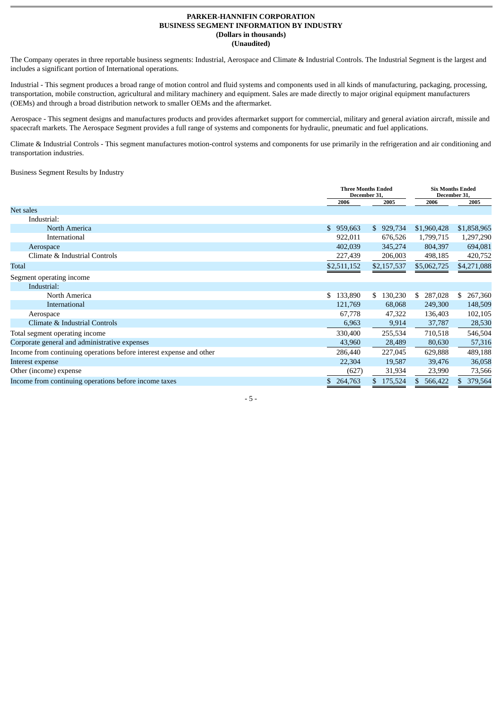#### **PARKER-HANNIFIN CORPORATION BUSINESS SEGMENT INFORMATION BY INDUSTRY (Dollars in thousands) (Unaudited)**

The Company operates in three reportable business segments: Industrial, Aerospace and Climate & Industrial Controls. The Industrial Segment is the largest and includes a significant portion of International operations.

Industrial - This segment produces a broad range of motion control and fluid systems and components used in all kinds of manufacturing, packaging, processing, transportation, mobile construction, agricultural and military machinery and equipment. Sales are made directly to major original equipment manufacturers (OEMs) and through a broad distribution network to smaller OEMs and the aftermarket.

Aerospace - This segment designs and manufactures products and provides aftermarket support for commercial, military and general aviation aircraft, missile and spacecraft markets. The Aerospace Segment provides a full range of systems and components for hydraulic, pneumatic and fuel applications.

Climate & Industrial Controls - This segment manufactures motion-control systems and components for use primarily in the refrigeration and air conditioning and transportation industries.

Business Segment Results by Industry

|                                                                     | <b>Three Months Ended</b><br>December 31, |                |               | <b>Six Months Ended</b><br>December 31, |
|---------------------------------------------------------------------|-------------------------------------------|----------------|---------------|-----------------------------------------|
|                                                                     | 2006                                      | 2005           | 2006          | 2005                                    |
| Net sales                                                           |                                           |                |               |                                         |
| Industrial:                                                         |                                           |                |               |                                         |
| <b>North America</b>                                                | 959,663<br>\$                             | 929,734<br>S.  | \$1,960,428   | \$1,858,965                             |
| International                                                       | 922,011                                   | 676,526        | 1,799,715     | 1,297,290                               |
| Aerospace                                                           | 402,039                                   | 345,274        | 804,397       | 694,081                                 |
| Climate & Industrial Controls                                       | 227,439                                   | 206,003        | 498,185       | 420,752                                 |
| Total                                                               | \$2,511,152                               | \$2,157,537    | \$5,062,725   | \$4,271,088                             |
| Segment operating income                                            |                                           |                |               |                                         |
| Industrial:                                                         |                                           |                |               |                                         |
| North America                                                       | \$<br>133,890                             | 130,230<br>\$. | 287,028<br>\$ | 267,360<br>\$                           |
| International                                                       | 121,769                                   | 68,068         | 249,300       | 148,509                                 |
| Aerospace                                                           | 67,778                                    | 47,322         | 136,403       | 102,105                                 |
| Climate & Industrial Controls                                       | 6,963                                     | 9,914          | 37,787        | 28,530                                  |
| Total segment operating income                                      | 330,400                                   | 255,534        | 710,518       | 546,504                                 |
| Corporate general and administrative expenses                       | 43,960                                    | 28,489         | 80,630        | 57,316                                  |
| Income from continuing operations before interest expense and other | 286,440                                   | 227,045        | 629,888       | 489,188                                 |
| Interest expense                                                    | 22,304                                    | 19,587         | 39,476        | 36,058                                  |
| Other (income) expense                                              | (627)                                     | 31,934         | 23,990        | 73,566                                  |
| Income from continuing operations before income taxes               | 264,763<br>\$                             | 175,524        | 566,422       | 379,564                                 |

- 5 -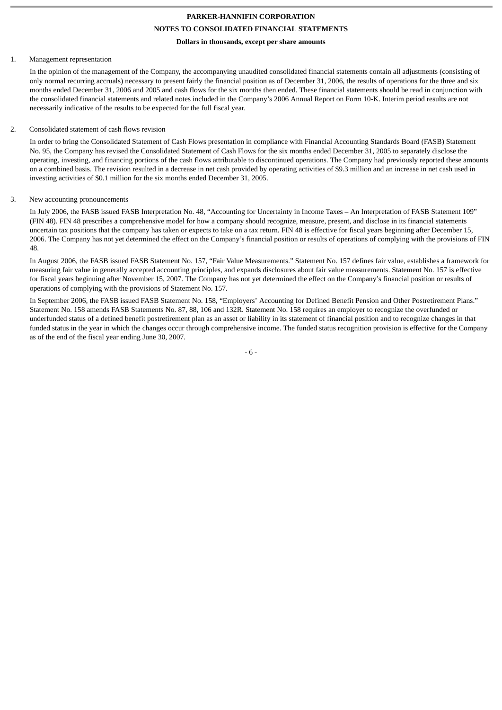# **PARKER-HANNIFIN CORPORATION NOTES TO CONSOLIDATED FINANCIAL STATEMENTS**

#### **Dollars in thousands, except per share amounts**

#### 1. Management representation

In the opinion of the management of the Company, the accompanying unaudited consolidated financial statements contain all adjustments (consisting of only normal recurring accruals) necessary to present fairly the financial position as of December 31, 2006, the results of operations for the three and six months ended December 31, 2006 and 2005 and cash flows for the six months then ended. These financial statements should be read in conjunction with the consolidated financial statements and related notes included in the Company's 2006 Annual Report on Form 10-K. Interim period results are not necessarily indicative of the results to be expected for the full fiscal year.

#### 2. Consolidated statement of cash flows revision

In order to bring the Consolidated Statement of Cash Flows presentation in compliance with Financial Accounting Standards Board (FASB) Statement No. 95, the Company has revised the Consolidated Statement of Cash Flows for the six months ended December 31, 2005 to separately disclose the operating, investing, and financing portions of the cash flows attributable to discontinued operations. The Company had previously reported these amounts on a combined basis. The revision resulted in a decrease in net cash provided by operating activities of \$9.3 million and an increase in net cash used in investing activities of \$0.1 million for the six months ended December 31, 2005.

#### 3. New accounting pronouncements

In July 2006, the FASB issued FASB Interpretation No. 48, "Accounting for Uncertainty in Income Taxes – An Interpretation of FASB Statement 109" (FIN 48). FIN 48 prescribes a comprehensive model for how a company should recognize, measure, present, and disclose in its financial statements uncertain tax positions that the company has taken or expects to take on a tax return. FIN 48 is effective for fiscal years beginning after December 15, 2006. The Company has not yet determined the effect on the Company's financial position or results of operations of complying with the provisions of FIN 48.

In August 2006, the FASB issued FASB Statement No. 157, "Fair Value Measurements." Statement No. 157 defines fair value, establishes a framework for measuring fair value in generally accepted accounting principles, and expands disclosures about fair value measurements. Statement No. 157 is effective for fiscal years beginning after November 15, 2007. The Company has not yet determined the effect on the Company's financial position or results of operations of complying with the provisions of Statement No. 157.

In September 2006, the FASB issued FASB Statement No. 158, "Employers' Accounting for Defined Benefit Pension and Other Postretirement Plans." Statement No. 158 amends FASB Statements No. 87, 88, 106 and 132R. Statement No. 158 requires an employer to recognize the overfunded or underfunded status of a defined benefit postretirement plan as an asset or liability in its statement of financial position and to recognize changes in that funded status in the year in which the changes occur through comprehensive income. The funded status recognition provision is effective for the Company as of the end of the fiscal year ending June 30, 2007.

- 6 -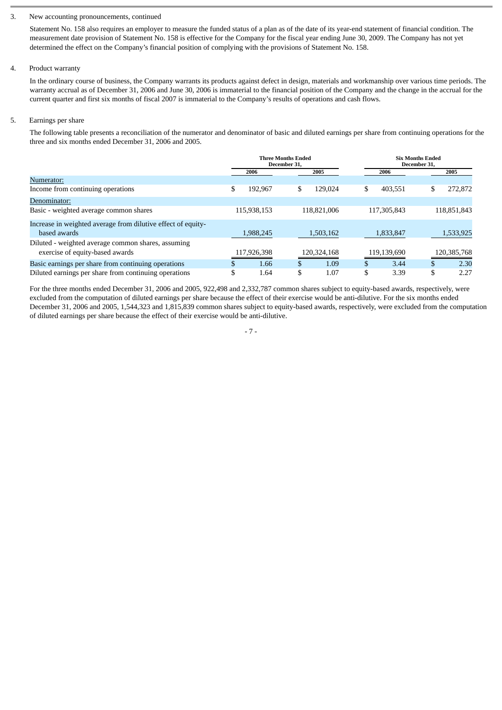#### 3. New accounting pronouncements, continued

Statement No. 158 also requires an employer to measure the funded status of a plan as of the date of its year-end statement of financial condition. The measurement date provision of Statement No. 158 is effective for the Company for the fiscal year ending June 30, 2009. The Company has not yet determined the effect on the Company's financial position of complying with the provisions of Statement No. 158.

#### 4. Product warranty

In the ordinary course of business, the Company warrants its products against defect in design, materials and workmanship over various time periods. The warranty accrual as of December 31, 2006 and June 30, 2006 is immaterial to the financial position of the Company and the change in the accrual for the current quarter and first six months of fiscal 2007 is immaterial to the Company's results of operations and cash flows.

#### 5. Earnings per share

The following table presents a reconciliation of the numerator and denominator of basic and diluted earnings per share from continuing operations for the three and six months ended December 31, 2006 and 2005.

|                                                                                       | <b>Three Months Ended</b><br>December 31, |      |             |     | <b>Six Months Ended</b><br>December 31, |      |             |  |  |  |      |
|---------------------------------------------------------------------------------------|-------------------------------------------|------|-------------|-----|-----------------------------------------|------|-------------|--|--|--|------|
|                                                                                       | 2006                                      | 2005 |             |     |                                         | 2006 |             |  |  |  | 2005 |
| Numerator:                                                                            |                                           |      |             |     |                                         |      |             |  |  |  |      |
| Income from continuing operations                                                     | \$<br>192.967                             | \$   | 129.024     | \$  | 403.551                                 | \$   | 272,872     |  |  |  |      |
| Denominator:                                                                          |                                           |      |             |     |                                         |      |             |  |  |  |      |
| Basic - weighted average common shares                                                | 115,938,153                               |      | 118.821.006 |     | 117,305,843                             |      | 118,851,843 |  |  |  |      |
| Increase in weighted average from dilutive effect of equity-<br>based awards          | 1,988,245                                 |      | 1,503,162   |     | 1,833,847                               |      | 1,533,925   |  |  |  |      |
| Diluted - weighted average common shares, assuming<br>exercise of equity-based awards | 117,926,398                               |      | 120.324.168 |     | 119,139,690                             |      | 120,385,768 |  |  |  |      |
| Basic earnings per share from continuing operations                                   | 1.66                                      | S    | 1.09        | \$. | 3.44                                    | S    | 2.30        |  |  |  |      |
| Diluted earnings per share from continuing operations                                 | \$<br>1.64                                | \$.  | 1.07        | \$  | 3.39                                    | \$   | 2.27        |  |  |  |      |

For the three months ended December 31, 2006 and 2005, 922,498 and 2,332,787 common shares subject to equity-based awards, respectively, were excluded from the computation of diluted earnings per share because the effect of their exercise would be anti-dilutive. For the six months ended December 31, 2006 and 2005, 1,544,323 and 1,815,839 common shares subject to equity-based awards, respectively, were excluded from the computation of diluted earnings per share because the effect of their exercise would be anti-dilutive.

- 7 -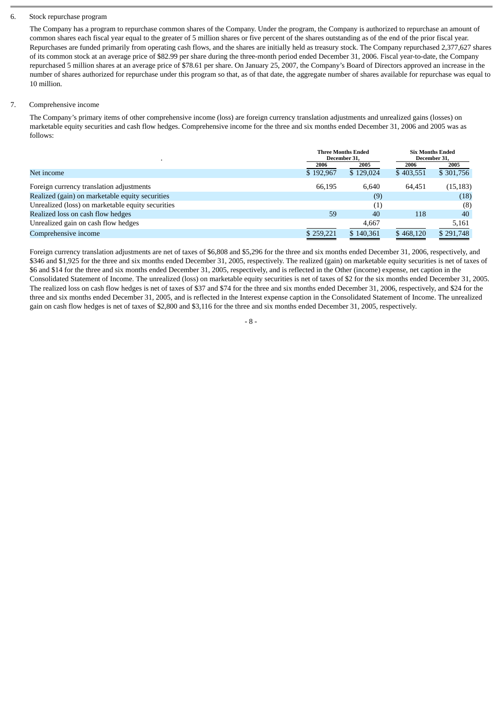#### 6. Stock repurchase program

The Company has a program to repurchase common shares of the Company. Under the program, the Company is authorized to repurchase an amount of common shares each fiscal year equal to the greater of 5 million shares or five percent of the shares outstanding as of the end of the prior fiscal year. Repurchases are funded primarily from operating cash flows, and the shares are initially held as treasury stock. The Company repurchased 2,377,627 shares of its common stock at an average price of \$82.99 per share during the three-month period ended December 31, 2006. Fiscal year-to-date, the Company repurchased 5 million shares at an average price of \$78.61 per share. On January 25, 2007, the Company's Board of Directors approved an increase in the number of shares authorized for repurchase under this program so that, as of that date, the aggregate number of shares available for repurchase was equal to 10 million.

#### 7. Comprehensive income

The Company's primary items of other comprehensive income (loss) are foreign currency translation adjustments and unrealized gains (losses) on marketable equity securities and cash flow hedges. Comprehensive income for the three and six months ended December 31, 2006 and 2005 was as follows:

|                                                   | <b>Three Months Ended</b><br>December 31. |           | <b>Six Months Ended</b><br>December 31. |           |
|---------------------------------------------------|-------------------------------------------|-----------|-----------------------------------------|-----------|
|                                                   | 2006                                      | 2005      | 2006                                    | 2005      |
| Net income                                        | \$192,967                                 | \$129,024 | \$403,551                               | \$301,756 |
| Foreign currency translation adjustments          | 66.195                                    | 6.640     | 64.451                                  | (15, 183) |
| Realized (gain) on marketable equity securities   |                                           | (9)       |                                         | (18)      |
| Unrealized (loss) on marketable equity securities |                                           | (1)       |                                         | (8)       |
| Realized loss on cash flow hedges                 | 59                                        | 40        | 118                                     | 40        |
| Unrealized gain on cash flow hedges               |                                           | 4,667     |                                         | 5,161     |
| Comprehensive income                              | \$259,221                                 | \$140,361 | \$468,120                               | \$291,748 |

Foreign currency translation adjustments are net of taxes of \$6,808 and \$5,296 for the three and six months ended December 31, 2006, respectively, and \$346 and \$1,925 for the three and six months ended December 31, 2005, respectively. The realized (gain) on marketable equity securities is net of taxes of \$6 and \$14 for the three and six months ended December 31, 2005, respectively, and is reflected in the Other (income) expense, net caption in the Consolidated Statement of Income. The unrealized (loss) on marketable equity securities is net of taxes of \$2 for the six months ended December 31, 2005. The realized loss on cash flow hedges is net of taxes of \$37 and \$74 for the three and six months ended December 31, 2006, respectively, and \$24 for the three and six months ended December 31, 2005, and is reflected in the Interest expense caption in the Consolidated Statement of Income. The unrealized gain on cash flow hedges is net of taxes of \$2,800 and \$3,116 for the three and six months ended December 31, 2005, respectively.

- 8 -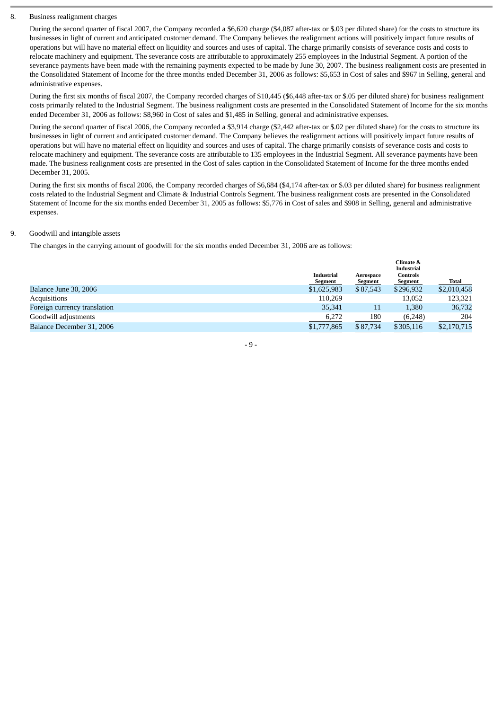#### 8. Business realignment charges

During the second quarter of fiscal 2007, the Company recorded a \$6,620 charge (\$4,087 after-tax or \$.03 per diluted share) for the costs to structure its businesses in light of current and anticipated customer demand. The Company believes the realignment actions will positively impact future results of operations but will have no material effect on liquidity and sources and uses of capital. The charge primarily consists of severance costs and costs to relocate machinery and equipment. The severance costs are attributable to approximately 255 employees in the Industrial Segment. A portion of the severance payments have been made with the remaining payments expected to be made by June 30, 2007. The business realignment costs are presented in the Consolidated Statement of Income for the three months ended December 31, 2006 as follows: \$5,653 in Cost of sales and \$967 in Selling, general and administrative expenses.

During the first six months of fiscal 2007, the Company recorded charges of \$10,445 (\$6,448 after-tax or \$.05 per diluted share) for business realignment costs primarily related to the Industrial Segment. The business realignment costs are presented in the Consolidated Statement of Income for the six months ended December 31, 2006 as follows: \$8,960 in Cost of sales and \$1,485 in Selling, general and administrative expenses.

During the second quarter of fiscal 2006, the Company recorded a \$3,914 charge (\$2,442 after-tax or \$.02 per diluted share) for the costs to structure its businesses in light of current and anticipated customer demand. The Company believes the realignment actions will positively impact future results of operations but will have no material effect on liquidity and sources and uses of capital. The charge primarily consists of severance costs and costs to relocate machinery and equipment. The severance costs are attributable to 135 employees in the Industrial Segment. All severance payments have been made. The business realignment costs are presented in the Cost of sales caption in the Consolidated Statement of Income for the three months ended December 31, 2005.

During the first six months of fiscal 2006, the Company recorded charges of \$6,684 (\$4,174 after-tax or \$.03 per diluted share) for business realignment costs related to the Industrial Segment and Climate & Industrial Controls Segment. The business realignment costs are presented in the Consolidated Statement of Income for the six months ended December 31, 2005 as follows: \$5,776 in Cost of sales and \$908 in Selling, general and administrative expenses.

#### 9. Goodwill and intangible assets

The changes in the carrying amount of goodwill for the six months ended December 31, 2006 are as follows:

|                              |                              |                      | Climate &<br><b>Industrial</b> |             |
|------------------------------|------------------------------|----------------------|--------------------------------|-------------|
|                              | <b>Industrial</b><br>Segment | Aerospace<br>Segment | <b>Controls</b><br>Segment     | Total       |
| Balance June 30, 2006        | \$1,625,983                  | \$87,543             | \$296,932                      | \$2,010,458 |
| Acquisitions                 | 110,269                      |                      | 13,052                         | 123,321     |
| Foreign currency translation | 35,341                       | 11                   | 1.380                          | 36,732      |
| Goodwill adjustments         | 6.272                        | 180                  | (6, 248)                       | 204         |
| Balance December 31, 2006    | \$1,777,865                  | \$87,734             | \$305,116                      | \$2,170,715 |

$$
\textbf{-9}-
$$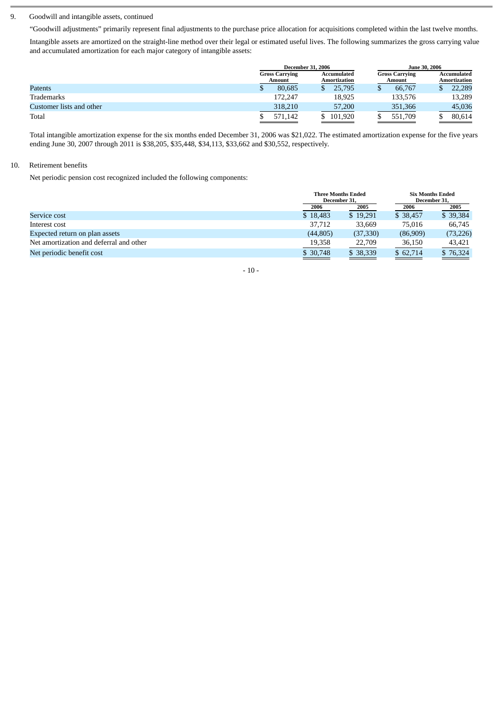#### 9. Goodwill and intangible assets, continued

"Goodwill adjustments" primarily represent final adjustments to the purchase price allocation for acquisitions completed within the last twelve months.

Intangible assets are amortized on the straight-line method over their legal or estimated useful lives. The following summarizes the gross carrying value and accumulated amortization for each major category of intangible assets:

|                          | <b>December 31, 2006</b>        |         |  |         | <b>June 30, 2006</b>               |         |                                 |        |  |                                    |
|--------------------------|---------------------------------|---------|--|---------|------------------------------------|---------|---------------------------------|--------|--|------------------------------------|
|                          | <b>Gross Carrying</b><br>Amount |         |  |         | Accumulated<br><b>Amortization</b> |         | <b>Gross Carrying</b><br>Amount |        |  | Accumulated<br><b>Amortization</b> |
| Patents                  |                                 | 80,685  |  | 25,795  |                                    | 66,767  |                                 | 22,289 |  |                                    |
| Trademarks               |                                 | 172.247 |  | 18,925  |                                    | 133,576 |                                 | 13,289 |  |                                    |
| Customer lists and other |                                 | 318,210 |  | 57,200  |                                    | 351.366 |                                 | 45,036 |  |                                    |
| Total                    |                                 | 571.142 |  | 101.920 |                                    | 551.709 |                                 | 80.614 |  |                                    |

Total intangible amortization expense for the six months ended December 31, 2006 was \$21,022. The estimated amortization expense for the five years ending June 30, 2007 through 2011 is \$38,205, \$35,448, \$34,113, \$33,662 and \$30,552, respectively.

#### 10. Retirement benefits

Net periodic pension cost recognized included the following components:

|          |          | <b>Six Months Ended</b><br>December 31,   |           |  |
|----------|----------|-------------------------------------------|-----------|--|
| 2006     | 2005     | 2006                                      | 2005      |  |
| \$18,483 | \$19,291 | \$ 38,457                                 | \$39,384  |  |
| 37.712   | 33.669   | 75.016                                    | 66.745    |  |
| (44,805) | (37,330) | (86,909)                                  | (73, 226) |  |
| 19,358   | 22,709   | 36,150                                    | 43,421    |  |
| \$30,748 | \$38,339 | \$62,714                                  | \$76,324  |  |
|          |          | <b>Three Months Ended</b><br>December 31. |           |  |

- 10 -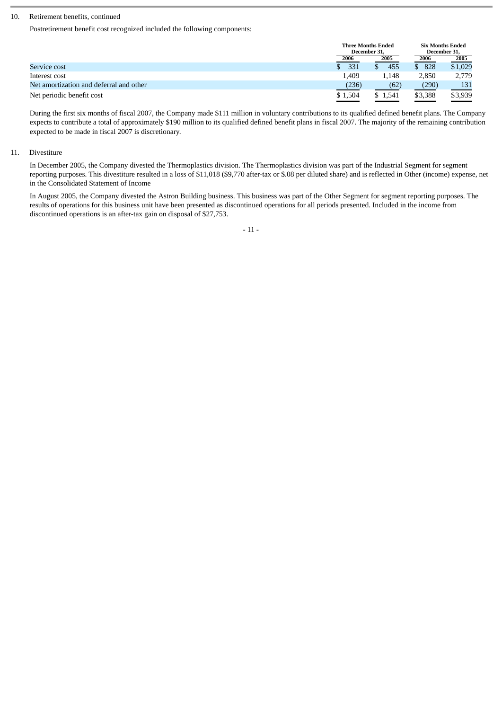#### 10. Retirement benefits, continued

Postretirement benefit cost recognized included the following components:

|                                         |         | <b>Three Months Ended</b><br>December 31. | <b>Six Months Ended</b><br>December 31. |         |  |
|-----------------------------------------|---------|-------------------------------------------|-----------------------------------------|---------|--|
|                                         | 2006    | 2005                                      | 2006                                    | 2005    |  |
| Service cost                            | 331     | 455                                       | 828<br>S.                               | \$1,029 |  |
| Interest cost                           | 1.409   | 1.148                                     | 2,850                                   | 2,779   |  |
| Net amortization and deferral and other | (236)   | (62)                                      | (290)                                   | 131     |  |
| Net periodic benefit cost               | \$1,504 | \$1.541                                   | \$3,388                                 | \$3,939 |  |

During the first six months of fiscal 2007, the Company made \$111 million in voluntary contributions to its qualified defined benefit plans. The Company expects to contribute a total of approximately \$190 million to its qualified defined benefit plans in fiscal 2007. The majority of the remaining contribution expected to be made in fiscal 2007 is discretionary.

#### 11. Divestiture

In December 2005, the Company divested the Thermoplastics division. The Thermoplastics division was part of the Industrial Segment for segment reporting purposes. This divestiture resulted in a loss of \$11,018 (\$9,770 after-tax or \$.08 per diluted share) and is reflected in Other (income) expense, net in the Consolidated Statement of Income

In August 2005, the Company divested the Astron Building business. This business was part of the Other Segment for segment reporting purposes. The results of operations for this business unit have been presented as discontinued operations for all periods presented. Included in the income from discontinued operations is an after-tax gain on disposal of \$27,753.

- 11 -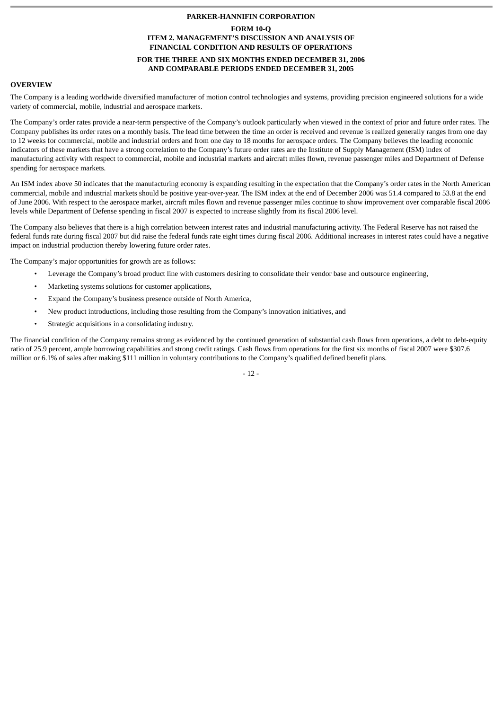## **PARKER-HANNIFIN CORPORATION**

# **FORM 10-Q ITEM 2. MANAGEMENT'S DISCUSSION AND ANALYSIS OF FINANCIAL CONDITION AND RESULTS OF OPERATIONS**

# **FOR THE THREE AND SIX MONTHS ENDED DECEMBER 31, 2006 AND COMPARABLE PERIODS ENDED DECEMBER 31, 2005**

#### **OVERVIEW**

The Company is a leading worldwide diversified manufacturer of motion control technologies and systems, providing precision engineered solutions for a wide variety of commercial, mobile, industrial and aerospace markets.

The Company's order rates provide a near-term perspective of the Company's outlook particularly when viewed in the context of prior and future order rates. The Company publishes its order rates on a monthly basis. The lead time between the time an order is received and revenue is realized generally ranges from one day to 12 weeks for commercial, mobile and industrial orders and from one day to 18 months for aerospace orders. The Company believes the leading economic indicators of these markets that have a strong correlation to the Company's future order rates are the Institute of Supply Management (ISM) index of manufacturing activity with respect to commercial, mobile and industrial markets and aircraft miles flown, revenue passenger miles and Department of Defense spending for aerospace markets.

An ISM index above 50 indicates that the manufacturing economy is expanding resulting in the expectation that the Company's order rates in the North American commercial, mobile and industrial markets should be positive year-over-year. The ISM index at the end of December 2006 was 51.4 compared to 53.8 at the end of June 2006. With respect to the aerospace market, aircraft miles flown and revenue passenger miles continue to show improvement over comparable fiscal 2006 levels while Department of Defense spending in fiscal 2007 is expected to increase slightly from its fiscal 2006 level.

The Company also believes that there is a high correlation between interest rates and industrial manufacturing activity. The Federal Reserve has not raised the federal funds rate during fiscal 2007 but did raise the federal funds rate eight times during fiscal 2006. Additional increases in interest rates could have a negative impact on industrial production thereby lowering future order rates.

The Company's major opportunities for growth are as follows:

- Leverage the Company's broad product line with customers desiring to consolidate their vendor base and outsource engineering,
- Marketing systems solutions for customer applications,
- Expand the Company's business presence outside of North America,
- New product introductions, including those resulting from the Company's innovation initiatives, and
- Strategic acquisitions in a consolidating industry.

The financial condition of the Company remains strong as evidenced by the continued generation of substantial cash flows from operations, a debt to debt-equity ratio of 25.9 percent, ample borrowing capabilities and strong credit ratings. Cash flows from operations for the first six months of fiscal 2007 were \$307.6 million or 6.1% of sales after making \$111 million in voluntary contributions to the Company's qualified defined benefit plans.

- 12 -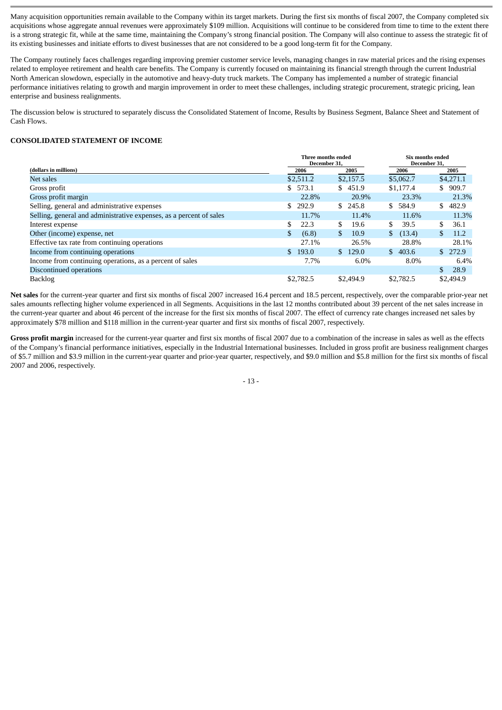Many acquisition opportunities remain available to the Company within its target markets. During the first six months of fiscal 2007, the Company completed six acquisitions whose aggregate annual revenues were approximately \$109 million. Acquisitions will continue to be considered from time to time to the extent there is a strong strategic fit, while at the same time, maintaining the Company's strong financial position. The Company will also continue to assess the strategic fit of its existing businesses and initiate efforts to divest businesses that are not considered to be a good long-term fit for the Company.

The Company routinely faces challenges regarding improving premier customer service levels, managing changes in raw material prices and the rising expenses related to employee retirement and health care benefits. The Company is currently focused on maintaining its financial strength through the current Industrial North American slowdown, especially in the automotive and heavy-duty truck markets. The Company has implemented a number of strategic financial performance initiatives relating to growth and margin improvement in order to meet these challenges, including strategic procurement, strategic pricing, lean enterprise and business realignments.

The discussion below is structured to separately discuss the Consolidated Statement of Income, Results by Business Segment, Balance Sheet and Statement of Cash Flows.

#### **CONSOLIDATED STATEMENT OF INCOME**

|                                                                     | Three months ended<br>December 31. |                       | Six months ended<br>December 31, |                       |
|---------------------------------------------------------------------|------------------------------------|-----------------------|----------------------------------|-----------------------|
| (dollars in millions)                                               | 2006                               | 2005                  | 2006                             | 2005                  |
| Net sales                                                           | \$2,511.2                          | \$2,157.5             | \$5,062.7                        | \$4,271.1             |
| Gross profit                                                        | \$573.1                            | \$451.9               | \$1,177.4                        | 909.7<br>S.           |
| Gross profit margin                                                 | 22.8%                              | 20.9%                 | 23.3%                            | 21.3%                 |
| Selling, general and administrative expenses                        | \$292.9                            | \$<br>245.8           | 584.9<br>S.                      | 482.9<br>\$           |
| Selling, general and administrative expenses, as a percent of sales | 11.7%                              | 11.4%                 | 11.6%                            | 11.3%                 |
| Interest expense                                                    | \$<br>22.3                         | \$<br>19.6            | \$<br>39.5                       | \$<br>36.1            |
| Other (income) expense, net                                         | \$<br>(6.8)                        | \$<br>10.9            | (13.4)<br><sup>\$</sup>          | \$<br>11.2            |
| Effective tax rate from continuing operations                       | 27.1%                              | 26.5%                 | 28.8%                            | 28.1%                 |
| Income from continuing operations                                   | \$193.0                            | 129.0<br>$\mathbf{s}$ | \$403.6                          | 272.9<br>$\mathbf{s}$ |
| Income from continuing operations, as a percent of sales            | 7.7%                               | $6.0\%$               | 8.0%                             | 6.4%                  |
| Discontinued operations                                             |                                    |                       |                                  | \$<br>28.9            |
| Backlog                                                             | \$2,782.5                          | \$2,494.9             | \$2,782.5                        | \$2,494.9             |

**Net sales** for the current-year quarter and first six months of fiscal 2007 increased 16.4 percent and 18.5 percent, respectively, over the comparable prior-year net sales amounts reflecting higher volume experienced in all Segments. Acquisitions in the last 12 months contributed about 39 percent of the net sales increase in the current-year quarter and about 46 percent of the increase for the first six months of fiscal 2007. The effect of currency rate changes increased net sales by approximately \$78 million and \$118 million in the current-year quarter and first six months of fiscal 2007, respectively.

Gross profit margin increased for the current-year quarter and first six months of fiscal 2007 due to a combination of the increase in sales as well as the effects of the Company's financial performance initiatives, especially in the Industrial International businesses. Included in gross profit are business realignment charges of \$5.7 million and \$3.9 million in the current-year quarter and prior-year quarter, respectively, and \$9.0 million and \$5.8 million for the first six months of fiscal 2007 and 2006, respectively.

- 13 -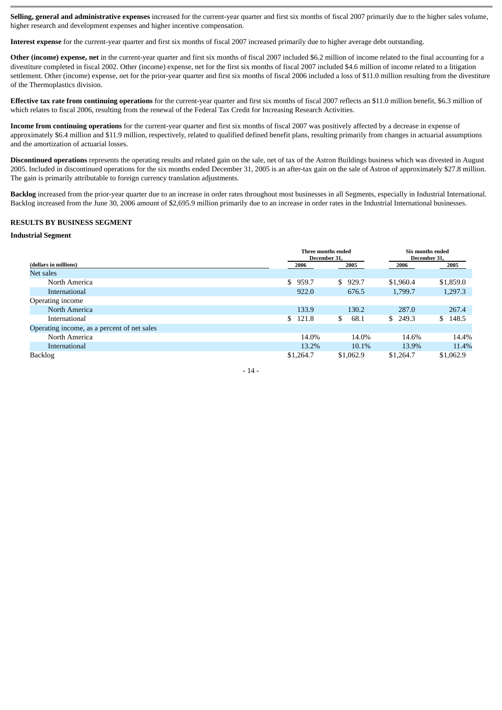**Selling, general and administrative expenses** increased for the current-year quarter and first six months of fiscal 2007 primarily due to the higher sales volume, higher research and development expenses and higher incentive compensation.

**Interest expense** for the current-year quarter and first six months of fiscal 2007 increased primarily due to higher average debt outstanding.

**Other (income) expense, net** in the current-year quarter and first six months of fiscal 2007 included \$6.2 million of income related to the final accounting for a divestiture completed in fiscal 2002. Other (income) expense, net for the first six months of fiscal 2007 included \$4.6 million of income related to a litigation settlement. Other (income) expense, net for the prior-year quarter and first six months of fiscal 2006 included a loss of \$11.0 million resulting from the divestiture of the Thermoplastics division.

**Effective tax rate from continuing operations** for the current-year quarter and first six months of fiscal 2007 reflects an \$11.0 million benefit, \$6.3 million of which relates to fiscal 2006, resulting from the renewal of the Federal Tax Credit for Increasing Research Activities.

**Income from continuing operations** for the current-year quarter and first six months of fiscal 2007 was positively affected by a decrease in expense of approximately \$6.4 million and \$11.9 million, respectively, related to qualified defined benefit plans, resulting primarily from changes in actuarial assumptions and the amortization of actuarial losses.

**Discontinued operations** represents the operating results and related gain on the sale, net of tax of the Astron Buildings business which was divested in August 2005. Included in discontinued operations for the six months ended December 31, 2005 is an after-tax gain on the sale of Astron of approximately \$27.8 million. The gain is primarily attributable to foreign currency translation adjustments.

**Backlog** increased from the prior-year quarter due to an increase in order rates throughout most businesses in all Segments, especially in Industrial International. Backlog increased from the June 30, 2006 amount of \$2,695.9 million primarily due to an increase in order rates in the Industrial International businesses.

#### **RESULTS BY BUSINESS SEGMENT**

#### **Industrial Segment**

|                                             | Three months ended<br>December 31. |              | Six months ended<br>December 31, |             |  |
|---------------------------------------------|------------------------------------|--------------|----------------------------------|-------------|--|
| (dollars in millions)                       | 2006                               | 2005         | 2006                             | 2005        |  |
| Net sales                                   |                                    |              |                                  |             |  |
| North America                               | \$959.7                            | \$.<br>929.7 | \$1,960.4                        | \$1,859.0   |  |
| International                               | 922.0                              | 676.5        | 1.799.7                          | 1,297.3     |  |
| Operating income                            |                                    |              |                                  |             |  |
| North America                               | 133.9                              | 130.2        | 287.0                            | 267.4       |  |
| International                               | \$121.8                            | \$<br>68.1   | \$249.3                          | \$<br>148.5 |  |
| Operating income, as a percent of net sales |                                    |              |                                  |             |  |
| North America                               | 14.0%                              | 14.0%        | 14.6%                            | 14.4%       |  |
| International                               | 13.2%                              | 10.1%        | 13.9%                            | 11.4%       |  |
| <b>Backlog</b>                              | \$1,264.7                          | \$1,062.9    | \$1,264.7                        | \$1,062.9   |  |

 $-14-$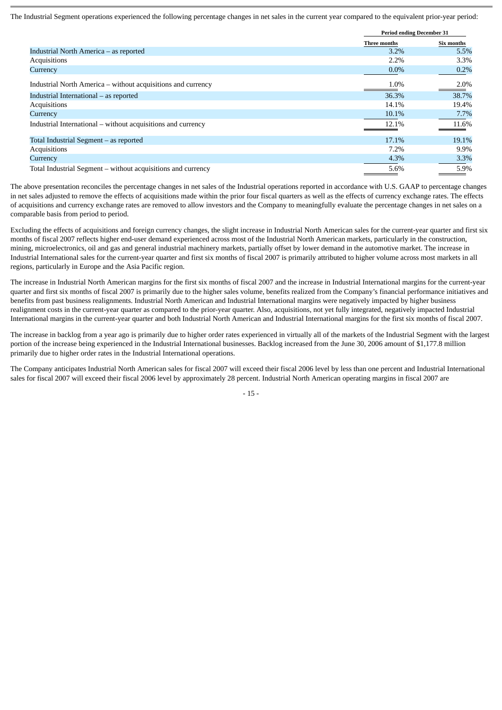The Industrial Segment operations experienced the following percentage changes in net sales in the current year compared to the equivalent prior-year period:

|                                                              |              | <b>Period ending December 31</b> |  |
|--------------------------------------------------------------|--------------|----------------------------------|--|
|                                                              | Three months | Six months                       |  |
| Industrial North America - as reported                       | 3.2%         | 5.5%                             |  |
| Acquisitions                                                 | 2.2%         | 3.3%                             |  |
| Currency                                                     | $0.0\%$      | 0.2%                             |  |
| Industrial North America – without acquisitions and currency | 1.0%         | 2.0%                             |  |
| Industrial International - as reported                       | 36.3%        | 38.7%                            |  |
| Acquisitions                                                 | 14.1%        | 19.4%                            |  |
| Currency                                                     | 10.1%        | 7.7%                             |  |
| Industrial International – without acquisitions and currency | 12.1%        | 11.6%                            |  |
| Total Industrial Segment - as reported                       | 17.1%        | 19.1%                            |  |
| Acquisitions                                                 | 7.2%         | 9.9%                             |  |
| Currency                                                     | 4.3%         | 3.3%                             |  |
| Total Industrial Segment - without acquisitions and currency | 5.6%         | 5.9%                             |  |

The above presentation reconciles the percentage changes in net sales of the Industrial operations reported in accordance with U.S. GAAP to percentage changes in net sales adjusted to remove the effects of acquisitions made within the prior four fiscal quarters as well as the effects of currency exchange rates. The effects of acquisitions and currency exchange rates are removed to allow investors and the Company to meaningfully evaluate the percentage changes in net sales on a comparable basis from period to period.

Excluding the effects of acquisitions and foreign currency changes, the slight increase in Industrial North American sales for the current-year quarter and first six months of fiscal 2007 reflects higher end-user demand experienced across most of the Industrial North American markets, particularly in the construction, mining, microelectronics, oil and gas and general industrial machinery markets, partially offset by lower demand in the automotive market. The increase in Industrial International sales for the current-year quarter and first six months of fiscal 2007 is primarily attributed to higher volume across most markets in all regions, particularly in Europe and the Asia Pacific region.

The increase in Industrial North American margins for the first six months of fiscal 2007 and the increase in Industrial International margins for the current-year quarter and first six months of fiscal 2007 is primarily due to the higher sales volume, benefits realized from the Company's financial performance initiatives and benefits from past business realignments. Industrial North American and Industrial International margins were negatively impacted by higher business realignment costs in the current-year quarter as compared to the prior-year quarter. Also, acquisitions, not yet fully integrated, negatively impacted Industrial International margins in the current-year quarter and both Industrial North American and Industrial International margins for the first six months of fiscal 2007.

The increase in backlog from a year ago is primarily due to higher order rates experienced in virtually all of the markets of the Industrial Segment with the largest portion of the increase being experienced in the Industrial International businesses. Backlog increased from the June 30, 2006 amount of \$1,177.8 million primarily due to higher order rates in the Industrial International operations.

The Company anticipates Industrial North American sales for fiscal 2007 will exceed their fiscal 2006 level by less than one percent and Industrial International sales for fiscal 2007 will exceed their fiscal 2006 level by approximately 28 percent. Industrial North American operating margins in fiscal 2007 are

- 15 -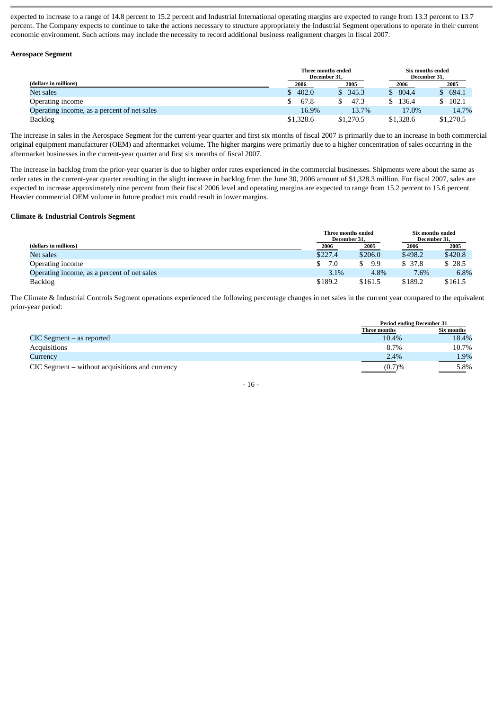expected to increase to a range of 14.8 percent to 15.2 percent and Industrial International operating margins are expected to range from 13.3 percent to 13.7 percent. The Company expects to continue to take the actions necessary to structure appropriately the Industrial Segment operations to operate in their current economic environment. Such actions may include the necessity to record additional business realignment charges in fiscal 2007.

#### **Aerospace Segment**

|                                             | Three months ended<br>December 31. |           | Six months ended<br>December 31. |           |
|---------------------------------------------|------------------------------------|-----------|----------------------------------|-----------|
| (dollars in millions)                       | 2006                               | 2005      | 2006                             | 2005      |
| Net sales                                   | \$402.0                            | \$345.3   | \$804.4                          | 694.1     |
| Operating income                            | 67.8                               | 47.3      | 136.4                            | 102.1     |
| Operating income, as a percent of net sales | 16.9%                              | 13.7%     | 17.0%                            | 14.7%     |
| <b>Backlog</b>                              | \$1,328.6                          | \$1,270.5 | \$1,328.6                        | \$1,270.5 |

The increase in sales in the Aerospace Segment for the current-year quarter and first six months of fiscal 2007 is primarily due to an increase in both commercial original equipment manufacturer (OEM) and aftermarket volume. The higher margins were primarily due to a higher concentration of sales occurring in the aftermarket businesses in the current-year quarter and first six months of fiscal 2007.

The increase in backlog from the prior-year quarter is due to higher order rates experienced in the commercial businesses. Shipments were about the same as order rates in the current-year quarter resulting in the slight increase in backlog from the June 30, 2006 amount of \$1,328.3 million. For fiscal 2007, sales are expected to increase approximately nine percent from their fiscal 2006 level and operating margins are expected to range from 15.2 percent to 15.6 percent. Heavier commercial OEM volume in future product mix could result in lower margins.

#### **Climate & Industrial Controls Segment**

|                                             | Three months ended<br>December 31. |         | Six months ended<br>December 31. |         |
|---------------------------------------------|------------------------------------|---------|----------------------------------|---------|
| (dollars in millions)                       | 2006                               | 2005    | 2006                             | 2005    |
| Net sales                                   | \$227.4                            | \$206.0 | \$498.2                          | \$420.8 |
| Operating income                            | 7.0                                | 9.9     | \$37.8                           | \$28.5  |
| Operating income, as a percent of net sales | 3.1%                               | 4.8%    | 7.6%                             | 6.8%    |
| <b>Backlog</b>                              | \$189.2                            | \$161.5 | \$189.2                          | \$161.5 |

The Climate & Industrial Controls Segment operations experienced the following percentage changes in net sales in the current year compared to the equivalent prior-year period:

|                                                 |              | <b>Period ending December 31</b> |  |
|-------------------------------------------------|--------------|----------------------------------|--|
|                                                 | Three months | Six months                       |  |
| CIC Segment – as reported                       | 10.4%        | 18.4%                            |  |
| Acquisitions                                    | 8.7%         | 10.7%                            |  |
| Currency                                        | 2.4%         | 1.9%                             |  |
| CIC Segment – without acquisitions and currency | (0.7)%       | 5.8%                             |  |

- 16 -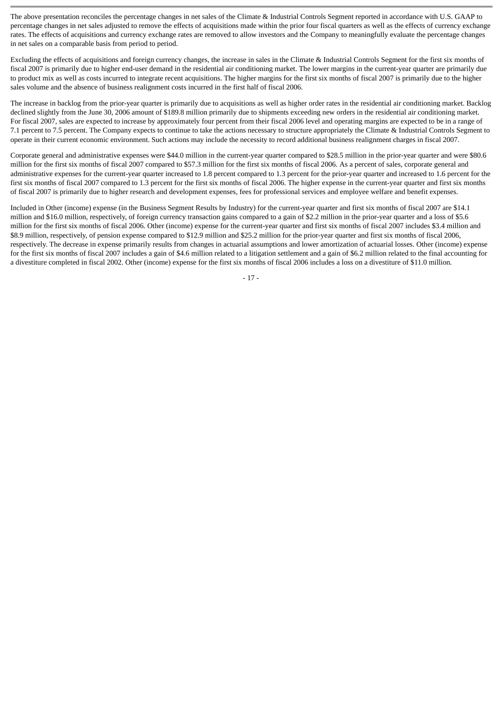The above presentation reconciles the percentage changes in net sales of the Climate & Industrial Controls Segment reported in accordance with U.S. GAAP to percentage changes in net sales adjusted to remove the effects of acquisitions made within the prior four fiscal quarters as well as the effects of currency exchange rates. The effects of acquisitions and currency exchange rates are removed to allow investors and the Company to meaningfully evaluate the percentage changes in net sales on a comparable basis from period to period.

Excluding the effects of acquisitions and foreign currency changes, the increase in sales in the Climate & Industrial Controls Segment for the first six months of fiscal 2007 is primarily due to higher end-user demand in the residential air conditioning market. The lower margins in the current-year quarter are primarily due to product mix as well as costs incurred to integrate recent acquisitions. The higher margins for the first six months of fiscal 2007 is primarily due to the higher sales volume and the absence of business realignment costs incurred in the first half of fiscal 2006.

The increase in backlog from the prior-year quarter is primarily due to acquisitions as well as higher order rates in the residential air conditioning market. Backlog declined slightly from the June 30, 2006 amount of \$189.8 million primarily due to shipments exceeding new orders in the residential air conditioning market. For fiscal 2007, sales are expected to increase by approximately four percent from their fiscal 2006 level and operating margins are expected to be in a range of 7.1 percent to 7.5 percent. The Company expects to continue to take the actions necessary to structure appropriately the Climate & Industrial Controls Segment to operate in their current economic environment. Such actions may include the necessity to record additional business realignment charges in fiscal 2007.

Corporate general and administrative expenses were \$44.0 million in the current-year quarter compared to \$28.5 million in the prior-year quarter and were \$80.6 million for the first six months of fiscal 2007 compared to \$57.3 million for the first six months of fiscal 2006. As a percent of sales, corporate general and administrative expenses for the current-year quarter increased to 1.8 percent compared to 1.3 percent for the prior-year quarter and increased to 1.6 percent for the first six months of fiscal 2007 compared to 1.3 percent for the first six months of fiscal 2006. The higher expense in the current-year quarter and first six months of fiscal 2007 is primarily due to higher research and development expenses, fees for professional services and employee welfare and benefit expenses.

Included in Other (income) expense (in the Business Segment Results by Industry) for the current-year quarter and first six months of fiscal 2007 are \$14.1 million and \$16.0 million, respectively, of foreign currency transaction gains compared to a gain of \$2.2 million in the prior-year quarter and a loss of \$5.6 million for the first six months of fiscal 2006. Other (income) expense for the current-year quarter and first six months of fiscal 2007 includes \$3.4 million and \$8.9 million, respectively, of pension expense compared to \$12.9 million and \$25.2 million for the prior-year quarter and first six months of fiscal 2006, respectively. The decrease in expense primarily results from changes in actuarial assumptions and lower amortization of actuarial losses. Other (income) expense for the first six months of fiscal 2007 includes a gain of \$4.6 million related to a litigation settlement and a gain of \$6.2 million related to the final accounting for a divestiture completed in fiscal 2002. Other (income) expense for the first six months of fiscal 2006 includes a loss on a divestiture of \$11.0 million.

- 17 -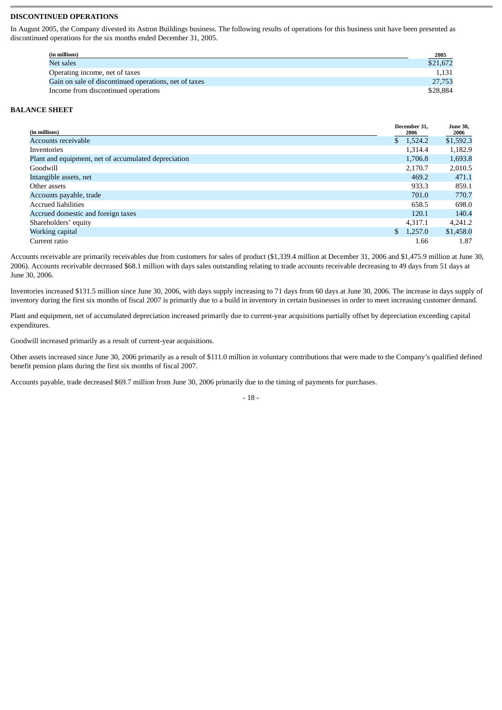#### **DISCONTINUED OPERATIONS**

In August 2005, the Company divested its Astron Buildings business. The following results of operations for this business unit have been presented as discontinued operations for the six months ended December 31, 2005.

| (in millions)                                         | 2005     |
|-------------------------------------------------------|----------|
| Net sales                                             | \$21,672 |
| Operating income, net of taxes                        | 1,131    |
| Gain on sale of discontinued operations, net of taxes | 27,753   |
| Income from discontinued operations                   | \$28,884 |

#### **BALANCE SHEET**

|                                                      | December 31,  | <b>June 30,</b> |
|------------------------------------------------------|---------------|-----------------|
| (in millions)                                        | 2006          | 2006            |
| <b>Accounts receivable</b>                           | \$1,524.2     | \$1,592.3       |
| Inventories                                          | 1,314.4       | 1,182.9         |
| Plant and equipment, net of accumulated depreciation | 1,706.8       | 1,693.8         |
| Goodwill                                             | 2,170.7       | 2,010.5         |
| Intangible assets, net                               | 469.2         | 471.1           |
| Other assets                                         | 933.3         | 859.1           |
| Accounts payable, trade                              | 701.0         | 770.7           |
| Accrued liabilities                                  | 658.5         | 698.0           |
| Accrued domestic and foreign taxes                   | 120.1         | 140.4           |
| Shareholders' equity                                 | 4.317.1       | 4.241.2         |
| Working capital                                      | \$<br>1,257.0 | \$1,458.0       |
| Current ratio                                        | 1.66          | 1.87            |

Accounts receivable are primarily receivables due from customers for sales of product (\$1,339.4 million at December 31, 2006 and \$1,475.9 million at June 30, 2006). Accounts receivable decreased \$68.1 million with days sales outstanding relating to trade accounts receivable decreasing to 49 days from 51 days at June 30, 2006.

Inventories increased \$131.5 million since June 30, 2006, with days supply increasing to 71 days from 60 days at June 30, 2006. The increase in days supply of inventory during the first six months of fiscal 2007 is primarily due to a build in inventory in certain businesses in order to meet increasing customer demand.

Plant and equipment, net of accumulated depreciation increased primarily due to current-year acquisitions partially offset by depreciation exceeding capital expenditures.

Goodwill increased primarily as a result of current-year acquisitions.

Other assets increased since June 30, 2006 primarily as a result of \$111.0 million in voluntary contributions that were made to the Company's qualified defined benefit pension plans during the first six months of fiscal 2007.

Accounts payable, trade decreased \$69.7 million from June 30, 2006 primarily due to the timing of payments for purchases.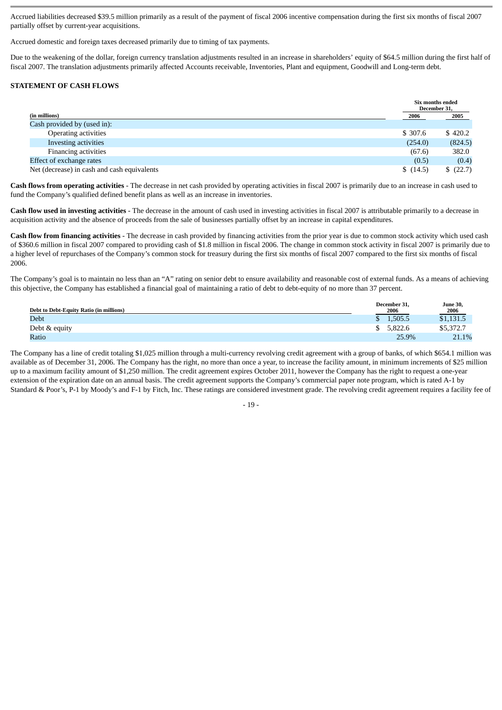Accrued liabilities decreased \$39.5 million primarily as a result of the payment of fiscal 2006 incentive compensation during the first six months of fiscal 2007 partially offset by current-year acquisitions.

Accrued domestic and foreign taxes decreased primarily due to timing of tax payments.

Due to the weakening of the dollar, foreign currency translation adjustments resulted in an increase in shareholders' equity of \$64.5 million during the first half of fiscal 2007. The translation adjustments primarily affected Accounts receivable, Inventories, Plant and equipment, Goodwill and Long-term debt.

#### **STATEMENT OF CASH FLOWS**

|                                             |          | Six months ended<br>December 31, |
|---------------------------------------------|----------|----------------------------------|
| (in millions)                               | 2006     | 2005                             |
| Cash provided by (used in):                 |          |                                  |
| <b>Operating activities</b>                 | \$ 307.6 | \$420.2                          |
| Investing activities                        | (254.0)  | (824.5)                          |
| <b>Financing activities</b>                 | (67.6)   | 382.0                            |
| Effect of exchange rates                    | (0.5)    | (0.4)                            |
| Net (decrease) in cash and cash equivalents | \$(14.5) | \$(22.7)                         |

**Cash flows from operating activities** - The decrease in net cash provided by operating activities in fiscal 2007 is primarily due to an increase in cash used to fund the Company's qualified defined benefit plans as well as an increase in inventories.

**Cash flow used in investing activities** - The decrease in the amount of cash used in investing activities in fiscal 2007 is attributable primarily to a decrease in acquisition activity and the absence of proceeds from the sale of businesses partially offset by an increase in capital expenditures.

**Cash flow from financing activities** - The decrease in cash provided by financing activities from the prior year is due to common stock activity which used cash of \$360.6 million in fiscal 2007 compared to providing cash of \$1.8 million in fiscal 2006. The change in common stock activity in fiscal 2007 is primarily due to a higher level of repurchases of the Company's common stock for treasury during the first six months of fiscal 2007 compared to the first six months of fiscal 2006.

The Company's goal is to maintain no less than an "A" rating on senior debt to ensure availability and reasonable cost of external funds. As a means of achieving this objective, the Company has established a financial goal of maintaining a ratio of debt to debt-equity of no more than 37 percent.

| Debt to Debt-Equity Ratio (in millions) | December 31,<br>2006 | <b>June 30,</b><br>$-2006$ |
|-----------------------------------------|----------------------|----------------------------|
| <b>Debt</b>                             | 1.505.5              | \$1,131.5                  |
| Debt & equity                           | 5.822.6              | \$5,372.7                  |
| Ratio                                   | 25.9%                | 21.1%                      |

The Company has a line of credit totaling \$1,025 million through a multi-currency revolving credit agreement with a group of banks, of which \$654.1 million was available as of December 31, 2006. The Company has the right, no more than once a year, to increase the facility amount, in minimum increments of \$25 million up to a maximum facility amount of \$1,250 million. The credit agreement expires October 2011, however the Company has the right to request a one-year extension of the expiration date on an annual basis. The credit agreement supports the Company's commercial paper note program, which is rated A-1 by Standard & Poor's, P-1 by Moody's and F-1 by Fitch, Inc. These ratings are considered investment grade. The revolving credit agreement requires a facility fee of

- 19 -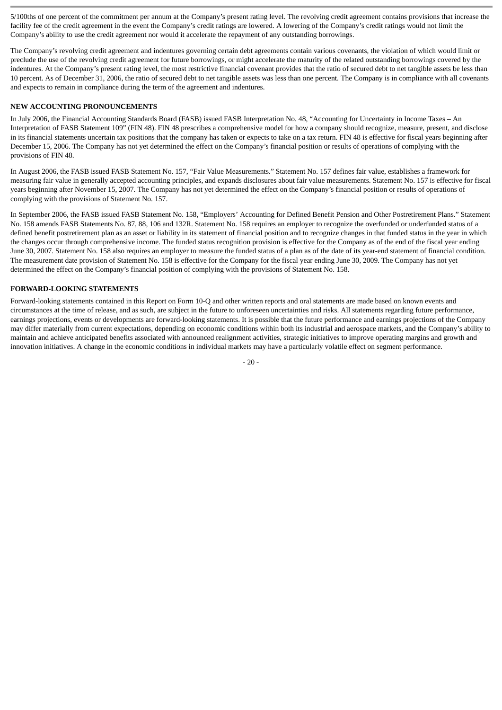5/100ths of one percent of the commitment per annum at the Company's present rating level. The revolving credit agreement contains provisions that increase the facility fee of the credit agreement in the event the Company's credit ratings are lowered. A lowering of the Company's credit ratings would not limit the Company's ability to use the credit agreement nor would it accelerate the repayment of any outstanding borrowings.

The Company's revolving credit agreement and indentures governing certain debt agreements contain various covenants, the violation of which would limit or preclude the use of the revolving credit agreement for future borrowings, or might accelerate the maturity of the related outstanding borrowings covered by the indentures. At the Company's present rating level, the most restrictive financial covenant provides that the ratio of secured debt to net tangible assets be less than 10 percent. As of December 31, 2006, the ratio of secured debt to net tangible assets was less than one percent. The Company is in compliance with all covenants and expects to remain in compliance during the term of the agreement and indentures.

#### **NEW ACCOUNTING PRONOUNCEMENTS**

In July 2006, the Financial Accounting Standards Board (FASB) issued FASB Interpretation No. 48, "Accounting for Uncertainty in Income Taxes – An Interpretation of FASB Statement 109" (FIN 48). FIN 48 prescribes a comprehensive model for how a company should recognize, measure, present, and disclose in its financial statements uncertain tax positions that the company has taken or expects to take on a tax return. FIN 48 is effective for fiscal years beginning after December 15, 2006. The Company has not yet determined the effect on the Company's financial position or results of operations of complying with the provisions of FIN 48.

In August 2006, the FASB issued FASB Statement No. 157, "Fair Value Measurements." Statement No. 157 defines fair value, establishes a framework for measuring fair value in generally accepted accounting principles, and expands disclosures about fair value measurements. Statement No. 157 is effective for fiscal years beginning after November 15, 2007. The Company has not yet determined the effect on the Company's financial position or results of operations of complying with the provisions of Statement No. 157.

In September 2006, the FASB issued FASB Statement No. 158, "Employers' Accounting for Defined Benefit Pension and Other Postretirement Plans." Statement No. 158 amends FASB Statements No. 87, 88, 106 and 132R. Statement No. 158 requires an employer to recognize the overfunded or underfunded status of a defined benefit postretirement plan as an asset or liability in its statement of financial position and to recognize changes in that funded status in the year in which the changes occur through comprehensive income. The funded status recognition provision is effective for the Company as of the end of the fiscal year ending June 30, 2007. Statement No. 158 also requires an employer to measure the funded status of a plan as of the date of its year-end statement of financial condition. The measurement date provision of Statement No. 158 is effective for the Company for the fiscal year ending June 30, 2009. The Company has not yet determined the effect on the Company's financial position of complying with the provisions of Statement No. 158.

#### **FORWARD-LOOKING STATEMENTS**

Forward-looking statements contained in this Report on Form 10-Q and other written reports and oral statements are made based on known events and circumstances at the time of release, and as such, are subject in the future to unforeseen uncertainties and risks. All statements regarding future performance, earnings projections, events or developments are forward-looking statements. It is possible that the future performance and earnings projections of the Company may differ materially from current expectations, depending on economic conditions within both its industrial and aerospace markets, and the Company's ability to maintain and achieve anticipated benefits associated with announced realignment activities, strategic initiatives to improve operating margins and growth and innovation initiatives. A change in the economic conditions in individual markets may have a particularly volatile effect on segment performance.

- 20 -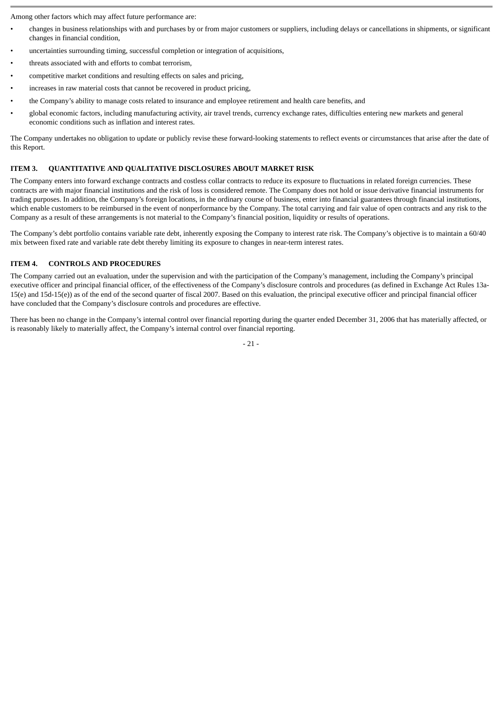Among other factors which may affect future performance are:

- changes in business relationships with and purchases by or from major customers or suppliers, including delays or cancellations in shipments, or significant changes in financial condition,
- uncertainties surrounding timing, successful completion or integration of acquisitions,
- threats associated with and efforts to combat terrorism,
- competitive market conditions and resulting effects on sales and pricing,
- increases in raw material costs that cannot be recovered in product pricing,
- the Company's ability to manage costs related to insurance and employee retirement and health care benefits, and
- global economic factors, including manufacturing activity, air travel trends, currency exchange rates, difficulties entering new markets and general economic conditions such as inflation and interest rates.

The Company undertakes no obligation to update or publicly revise these forward-looking statements to reflect events or circumstances that arise after the date of this Report.

#### **ITEM 3. QUANTITATIVE AND QUALITATIVE DISCLOSURES ABOUT MARKET RISK**

The Company enters into forward exchange contracts and costless collar contracts to reduce its exposure to fluctuations in related foreign currencies. These contracts are with major financial institutions and the risk of loss is considered remote. The Company does not hold or issue derivative financial instruments for trading purposes. In addition, the Company's foreign locations, in the ordinary course of business, enter into financial guarantees through financial institutions, which enable customers to be reimbursed in the event of nonperformance by the Company. The total carrying and fair value of open contracts and any risk to the Company as a result of these arrangements is not material to the Company's financial position, liquidity or results of operations.

The Company's debt portfolio contains variable rate debt, inherently exposing the Company to interest rate risk. The Company's objective is to maintain a 60/40 mix between fixed rate and variable rate debt thereby limiting its exposure to changes in near-term interest rates.

#### **ITEM 4. CONTROLS AND PROCEDURES**

The Company carried out an evaluation, under the supervision and with the participation of the Company's management, including the Company's principal executive officer and principal financial officer, of the effectiveness of the Company's disclosure controls and procedures (as defined in Exchange Act Rules 13a-15(e) and 15d-15(e)) as of the end of the second quarter of fiscal 2007. Based on this evaluation, the principal executive officer and principal financial officer have concluded that the Company's disclosure controls and procedures are effective.

There has been no change in the Company's internal control over financial reporting during the quarter ended December 31, 2006 that has materially affected, or is reasonably likely to materially affect, the Company's internal control over financial reporting.

- 21 -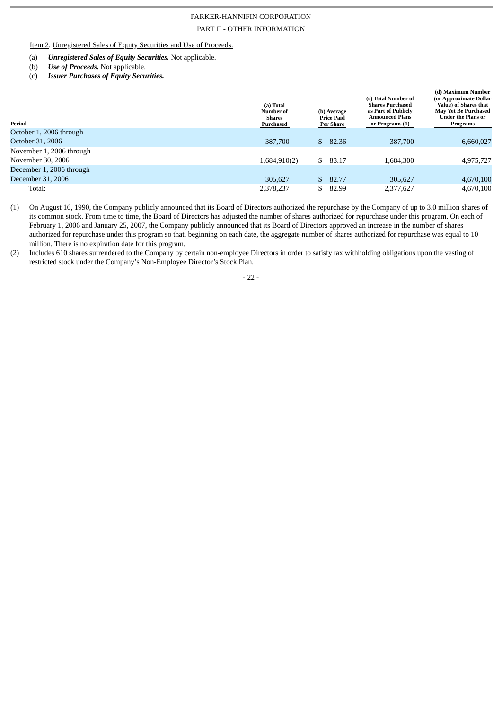# PARKER-HANNIFIN CORPORATION PART II - OTHER INFORMATION

# Item 2. Unregistered Sales of Equity Securities and Use of Proceeds.

- (a) *Unregistered Sales of Equity Securities.* Not applicable.
- (b) *Use of Proceeds.* Not applicable.
- (c) *Issuer Purchases of Equity Securities.*

| Period                   | (a) Total<br>Number of<br><b>Shares</b><br>Purchased | (b) Average<br><b>Price Paid</b><br>Per Share | (c) Total Number of<br><b>Shares Purchased</b><br>as Part of Publicly<br><b>Announced Plans</b><br>or Programs (1) | талинин тишет<br>(or Approximate Dollar<br>Value) of Shares that<br><b>May Yet Be Purchased</b><br><b>Under the Plans or</b><br>Programs |
|--------------------------|------------------------------------------------------|-----------------------------------------------|--------------------------------------------------------------------------------------------------------------------|------------------------------------------------------------------------------------------------------------------------------------------|
| October 1, 2006 through  |                                                      |                                               |                                                                                                                    |                                                                                                                                          |
| October 31, 2006         | 387,700                                              | \$82.36                                       | 387,700                                                                                                            | 6,660,027                                                                                                                                |
| November 1, 2006 through |                                                      |                                               |                                                                                                                    |                                                                                                                                          |
| November 30, 2006        | 1,684,910(2)                                         | \$83.17                                       | 1,684,300                                                                                                          | 4,975,727                                                                                                                                |
| December 1, 2006 through |                                                      |                                               |                                                                                                                    |                                                                                                                                          |
| December 31, 2006        | 305.627                                              | \$82.77                                       | 305.627                                                                                                            | 4,670,100                                                                                                                                |
| Total:                   | 2,378,237                                            | 82.99<br>\$                                   | 2,377,627                                                                                                          | 4,670,100                                                                                                                                |
|                          |                                                      |                                               |                                                                                                                    |                                                                                                                                          |

**(d) Maximum Number**

(1) On August 16, 1990, the Company publicly announced that its Board of Directors authorized the repurchase by the Company of up to 3.0 million shares of its common stock. From time to time, the Board of Directors has adjusted the number of shares authorized for repurchase under this program. On each of February 1, 2006 and January 25, 2007, the Company publicly announced that its Board of Directors approved an increase in the number of shares authorized for repurchase under this program so that, beginning on each date, the aggregate number of shares authorized for repurchase was equal to 10 million. There is no expiration date for this program.

(2) Includes 610 shares surrendered to the Company by certain non-employee Directors in order to satisfy tax withholding obligations upon the vesting of restricted stock under the Company's Non-Employee Director's Stock Plan.

- 22 -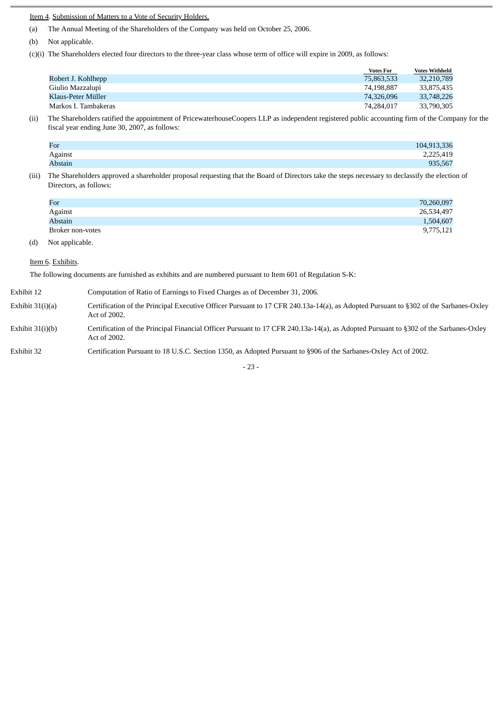Item 4. Submission of Matters to a Vote of Security Holders.

- (a) The Annual Meeting of the Shareholders of the Company was held on October 25, 2006.
- (b) Not applicable.
- (c)(i) The Shareholders elected four directors to the three-year class whose term of office will expire in 2009, as follows:

|                      | <b>Votes For</b> | <b>Votes Withheld</b> |
|----------------------|------------------|-----------------------|
| Robert J. Kohlhepp   | 75,863,533       | 32.210.789            |
| Giulio Mazzalupi     | 74.198.887       | 33.875.435            |
| Klaus-Peter Müller   | 74.326.096       | 33,748,226            |
| Markos I. Tambakeras | 74.284.017       | 33,790,305            |

(ii) The Shareholders ratified the appointment of PricewaterhouseCoopers LLP as independent registered public accounting firm of the Company for the fiscal year ending June 30, 2007, as follows:

| For     | 104,913,336 |
|---------|-------------|
| Against | 2,225,419   |
| Abstain | 935,567     |

(iii) The Shareholders approved a shareholder proposal requesting that the Board of Directors take the steps necessary to declassify the election of Directors, as follows:

| For              | 70,260,097 |
|------------------|------------|
| Against          | 26,534,497 |
| Abstain          | 1,504,607  |
| Broker non-votes | 9,775,121  |
|                  |            |

(d) Not applicable.

#### Item 6. Exhibits.

The following documents are furnished as exhibits and are numbered pursuant to Item 601 of Regulation S-K:

| Exhibit 12         | Computation of Ratio of Earnings to Fixed Charges as of December 31, 2006.                                                                           |
|--------------------|------------------------------------------------------------------------------------------------------------------------------------------------------|
| Exhibit $31(i)(a)$ | Certification of the Principal Executive Officer Pursuant to 17 CFR 240.13a-14(a), as Adopted Pursuant to §302 of the Sarbanes-Oxley<br>Act of 2002. |
| Exhibit $31(i)(b)$ | Certification of the Principal Financial Officer Pursuant to 17 CFR 240.13a-14(a), as Adopted Pursuant to §302 of the Sarbanes-Oxley<br>Act of 2002. |
| Exhibit 32         | Certification Pursuant to 18 U.S.C. Section 1350, as Adopted Pursuant to §906 of the Sarbanes-Oxley Act of 2002.                                     |

#### - 23 -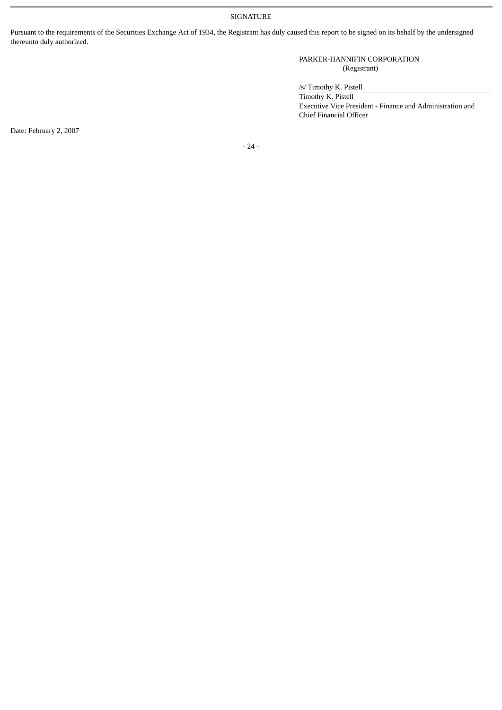SIGNATURE

Pursuant to the requirements of the Securities Exchange Act of 1934, the Registrant has duly caused this report to be signed on its behalf by the undersigned thereunto duly authorized.

#### PARKER-HANNIFIN CORPORATION (Registrant)

# /s/ Timothy K. Pistell

Timothy K. Pistell Executive Vice President - Finance and Administration and Chief Financial Officer

Date: February 2, 2007

- 24 -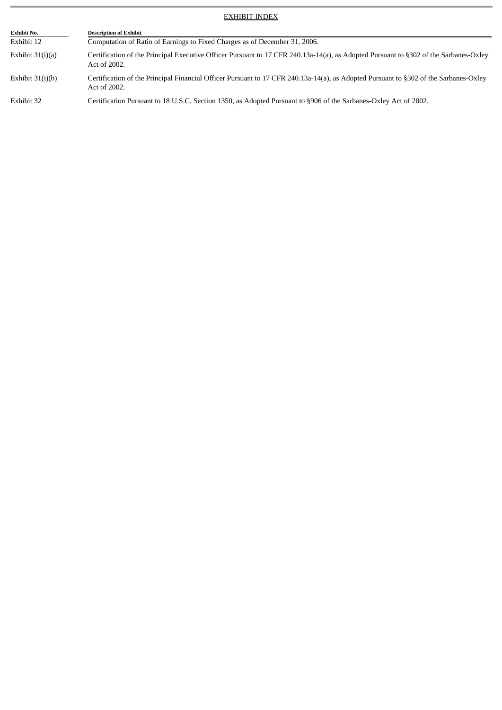# EXHIBIT INDEX

| <b>Exhibit No.</b><br>Exhibit 12 | <b>Description of Exhibit</b><br>Computation of Ratio of Earnings to Fixed Charges as of December 31, 2006.                                          |
|----------------------------------|------------------------------------------------------------------------------------------------------------------------------------------------------|
| Exhibit $31(i)(a)$               | Certification of the Principal Executive Officer Pursuant to 17 CFR 240.13a-14(a), as Adopted Pursuant to §302 of the Sarbanes-Oxley<br>Act of 2002. |
| Exhibit $31(i)(b)$               | Certification of the Principal Financial Officer Pursuant to 17 CFR 240.13a-14(a), as Adopted Pursuant to §302 of the Sarbanes-Oxley<br>Act of 2002. |
| Exhibit 32                       | Certification Pursuant to 18 U.S.C. Section 1350, as Adopted Pursuant to §906 of the Sarbanes-Oxley Act of 2002.                                     |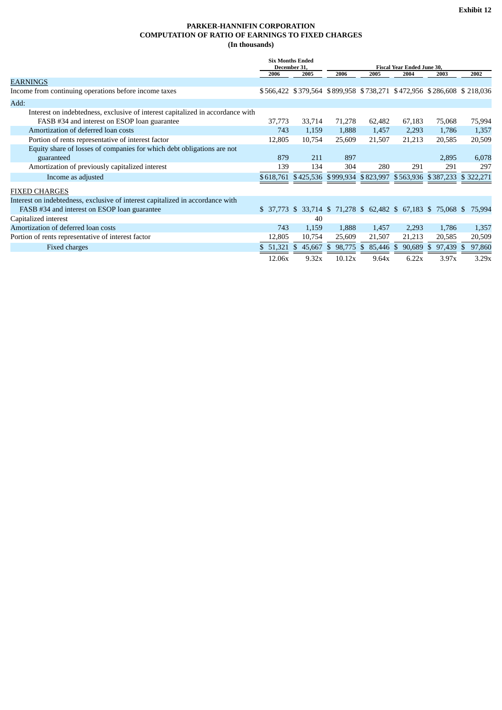# **PARKER-HANNIFIN CORPORATION COMPUTATION OF RATIO OF EARNINGS TO FIXED CHARGES (In thousands)**

|                                                                                | <b>Six Months Ended</b><br>December 31, |                                         | <b>Fiscal Year Ended June 30,</b> |           |        |                                                                       |        |
|--------------------------------------------------------------------------------|-----------------------------------------|-----------------------------------------|-----------------------------------|-----------|--------|-----------------------------------------------------------------------|--------|
|                                                                                | 2006                                    | 2005                                    | 2006                              | 2005      | 2004   | 2003                                                                  | 2002   |
| <b>EARNINGS</b>                                                                |                                         |                                         |                                   |           |        |                                                                       |        |
| Income from continuing operations before income taxes                          |                                         |                                         |                                   |           |        | \$566,422 \$379,564 \$899,958 \$738,271 \$472,956 \$286,608 \$218,036 |        |
| Add:                                                                           |                                         |                                         |                                   |           |        |                                                                       |        |
| Interest on indebtedness, exclusive of interest capitalized in accordance with |                                         |                                         |                                   |           |        |                                                                       |        |
| FASB #34 and interest on ESOP loan guarantee                                   | 37,773                                  | 33,714                                  | 71,278                            | 62,482    | 67,183 | 75,068                                                                | 75,994 |
| Amortization of deferred loan costs                                            | 743                                     | 1,159                                   | 1,888                             | 1,457     | 2,293  | 1,786                                                                 | 1,357  |
| Portion of rents representative of interest factor                             | 12,805                                  | 10,754                                  | 25,609                            | 21,507    | 21,213 | 20,585                                                                | 20,509 |
| Equity share of losses of companies for which debt obligations are not         |                                         |                                         |                                   |           |        |                                                                       |        |
| guaranteed                                                                     | 879                                     | 211                                     | 897                               |           |        | 2,895                                                                 | 6,078  |
| Amortization of previously capitalized interest                                | 139                                     | 134                                     | 304                               | 280       | 291    | 291                                                                   | 297    |
| Income as adjusted                                                             |                                         | \$618,761 \$425,536 \$999,934 \$823,997 |                                   |           |        | \$563,936 \$387,233 \$322,271                                         |        |
| <b>FIXED CHARGES</b>                                                           |                                         |                                         |                                   |           |        |                                                                       |        |
| Interest on indebtedness, exclusive of interest capitalized in accordance with |                                         |                                         |                                   |           |        |                                                                       |        |
| FASB #34 and interest on ESOP loan guarantee                                   |                                         |                                         |                                   |           |        | \$ 37,773 \$ 33,714 \$ 71,278 \$ 62,482 \$ 67,183 \$ 75,068 \$        | 75,994 |
| Capitalized interest                                                           |                                         | 40                                      |                                   |           |        |                                                                       |        |
| Amortization of deferred loan costs                                            |                                         | 1,159                                   | 1,888                             | 1,457     | 2,293  | 1,786                                                                 | 1,357  |
| Portion of rents representative of interest factor                             | 12,805                                  | 10,754                                  | 25,609                            | 21,507    | 21,213 | 20,585                                                                | 20,509 |
| Fixed charges                                                                  | $51,321$ \$<br>S.                       | 45,667 \$                               | 98,775 \$                         | 85,446 \$ | 90,689 | 97,439<br><sup>\$</sup>                                               | 97,860 |
|                                                                                | 12.06x                                  | 9.32x                                   | 10.12x                            | 9.64x     | 6.22x  | 3.97x                                                                 | 3.29x  |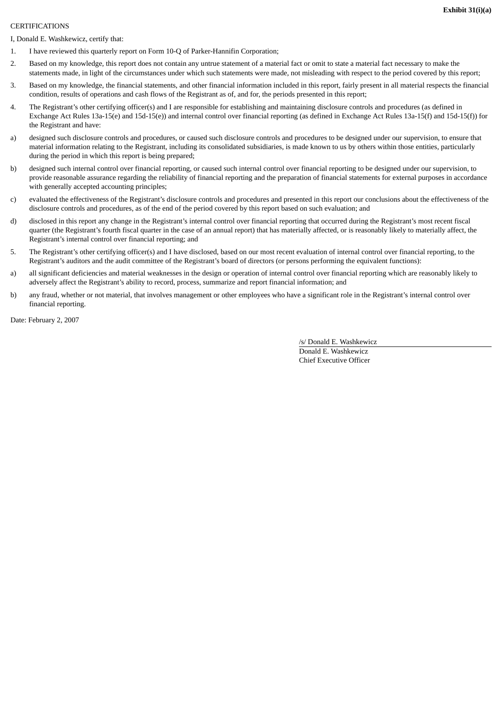#### CERTIFICATIONS

I, Donald E. Washkewicz, certify that:

- 1. I have reviewed this quarterly report on Form 10-Q of Parker-Hannifin Corporation;
- 2. Based on my knowledge, this report does not contain any untrue statement of a material fact or omit to state a material fact necessary to make the statements made, in light of the circumstances under which such statements were made, not misleading with respect to the period covered by this report;
- 3. Based on my knowledge, the financial statements, and other financial information included in this report, fairly present in all material respects the financial condition, results of operations and cash flows of the Registrant as of, and for, the periods presented in this report;
- 4. The Registrant's other certifying officer(s) and I are responsible for establishing and maintaining disclosure controls and procedures (as defined in Exchange Act Rules 13a-15(e) and 15d-15(e)) and internal control over financial reporting (as defined in Exchange Act Rules 13a-15(f) and 15d-15(f)) for the Registrant and have:
- a) designed such disclosure controls and procedures, or caused such disclosure controls and procedures to be designed under our supervision, to ensure that material information relating to the Registrant, including its consolidated subsidiaries, is made known to us by others within those entities, particularly during the period in which this report is being prepared;
- b) designed such internal control over financial reporting, or caused such internal control over financial reporting to be designed under our supervision, to provide reasonable assurance regarding the reliability of financial reporting and the preparation of financial statements for external purposes in accordance with generally accepted accounting principles;
- c) evaluated the effectiveness of the Registrant's disclosure controls and procedures and presented in this report our conclusions about the effectiveness of the disclosure controls and procedures, as of the end of the period covered by this report based on such evaluation; and
- d) disclosed in this report any change in the Registrant's internal control over financial reporting that occurred during the Registrant's most recent fiscal quarter (the Registrant's fourth fiscal quarter in the case of an annual report) that has materially affected, or is reasonably likely to materially affect, the Registrant's internal control over financial reporting; and
- 5. The Registrant's other certifying officer(s) and I have disclosed, based on our most recent evaluation of internal control over financial reporting, to the Registrant's auditors and the audit committee of the Registrant's board of directors (or persons performing the equivalent functions):
- a) all significant deficiencies and material weaknesses in the design or operation of internal control over financial reporting which are reasonably likely to adversely affect the Registrant's ability to record, process, summarize and report financial information; and
- b) any fraud, whether or not material, that involves management or other employees who have a significant role in the Registrant's internal control over financial reporting.

Date: February 2, 2007

/s/ Donald E. Washkewicz Donald E. Washkewicz Chief Executive Officer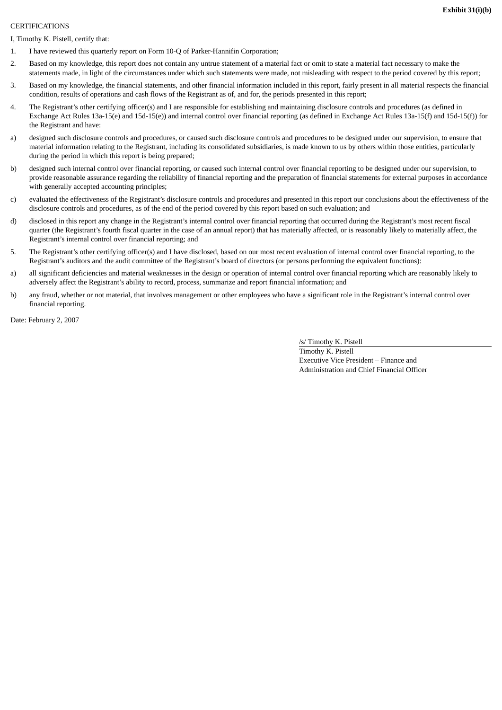#### CERTIFICATIONS

I, Timothy K. Pistell, certify that:

- 1. I have reviewed this quarterly report on Form 10-Q of Parker-Hannifin Corporation;
- 2. Based on my knowledge, this report does not contain any untrue statement of a material fact or omit to state a material fact necessary to make the statements made, in light of the circumstances under which such statements were made, not misleading with respect to the period covered by this report;
- 3. Based on my knowledge, the financial statements, and other financial information included in this report, fairly present in all material respects the financial condition, results of operations and cash flows of the Registrant as of, and for, the periods presented in this report;
- 4. The Registrant's other certifying officer(s) and I are responsible for establishing and maintaining disclosure controls and procedures (as defined in Exchange Act Rules 13a-15(e) and 15d-15(e)) and internal control over financial reporting (as defined in Exchange Act Rules 13a-15(f) and 15d-15(f)) for the Registrant and have:
- a) designed such disclosure controls and procedures, or caused such disclosure controls and procedures to be designed under our supervision, to ensure that material information relating to the Registrant, including its consolidated subsidiaries, is made known to us by others within those entities, particularly during the period in which this report is being prepared;
- b) designed such internal control over financial reporting, or caused such internal control over financial reporting to be designed under our supervision, to provide reasonable assurance regarding the reliability of financial reporting and the preparation of financial statements for external purposes in accordance with generally accepted accounting principles;
- c) evaluated the effectiveness of the Registrant's disclosure controls and procedures and presented in this report our conclusions about the effectiveness of the disclosure controls and procedures, as of the end of the period covered by this report based on such evaluation; and
- d) disclosed in this report any change in the Registrant's internal control over financial reporting that occurred during the Registrant's most recent fiscal quarter (the Registrant's fourth fiscal quarter in the case of an annual report) that has materially affected, or is reasonably likely to materially affect, the Registrant's internal control over financial reporting; and
- 5. The Registrant's other certifying officer(s) and I have disclosed, based on our most recent evaluation of internal control over financial reporting, to the Registrant's auditors and the audit committee of the Registrant's board of directors (or persons performing the equivalent functions):
- a) all significant deficiencies and material weaknesses in the design or operation of internal control over financial reporting which are reasonably likely to adversely affect the Registrant's ability to record, process, summarize and report financial information; and
- b) any fraud, whether or not material, that involves management or other employees who have a significant role in the Registrant's internal control over financial reporting.

Date: February 2, 2007

/s/ Timothy K. Pistell

Timothy K. Pistell Executive Vice President – Finance and Administration and Chief Financial Officer